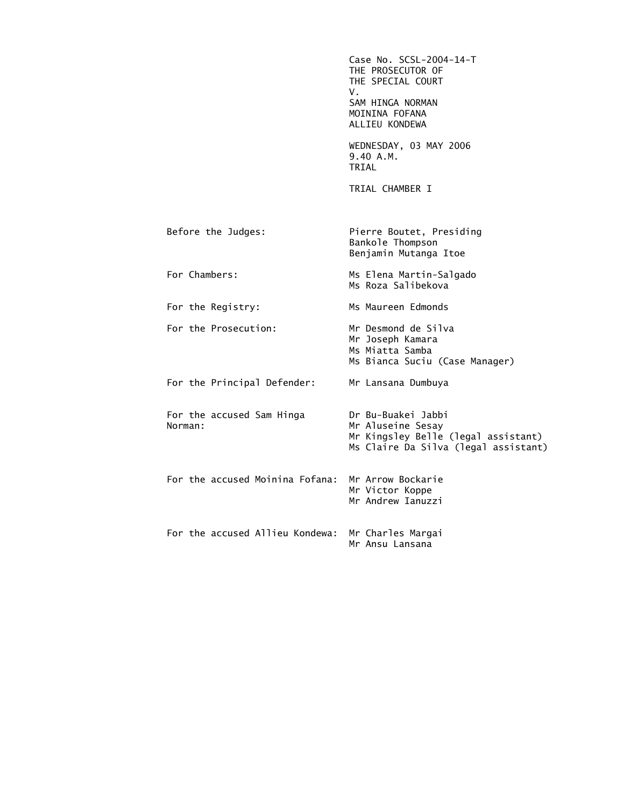|                                      | Case No. SCSL-2004-14-T<br>THE PROSECUTOR OF<br>THE SPECIAL COURT<br>V.<br>SAM HINGA NORMAN<br>MOININA FOFANA<br>ALLIEU KONDEWA |
|--------------------------------------|---------------------------------------------------------------------------------------------------------------------------------|
|                                      | WEDNESDAY, 03 MAY 2006<br>9.40 A.M.<br>TRIAL                                                                                    |
|                                      | TRIAL CHAMBER I                                                                                                                 |
| Before the Judges:                   | Pierre Boutet, Presiding<br>Bankole Thompson<br>Benjamin Mutanga Itoe                                                           |
| For Chambers:                        | Ms Elena Martin-Salgado<br>Ms Roza Salibekova                                                                                   |
| For the Registry:                    | Ms Maureen Edmonds                                                                                                              |
| For the Prosecution:                 | Mr Desmond de Silva<br>Mr Joseph Kamara<br>Ms Miatta Samba<br>Ms Bianca Suciu (Case Manager)                                    |
| For the Principal Defender:          | Mr Lansana Dumbuya                                                                                                              |
| For the accused Sam Hinga<br>Norman: | Dr Bu-Buakei Jabbi<br>Mr Aluseine Sesay<br>Mr Kingsley Belle (legal assistant)<br>Ms Claire Da Silva (legal assistant)          |
| For the accused Moinina Fofana:      | Mr Arrow Bockarie<br>Mr Victor Koppe<br>Mr Andrew Ianuzzi                                                                       |
| For the accused Allieu Kondewa:      | Mr Charles Margai<br>Mr Ansu Lansana                                                                                            |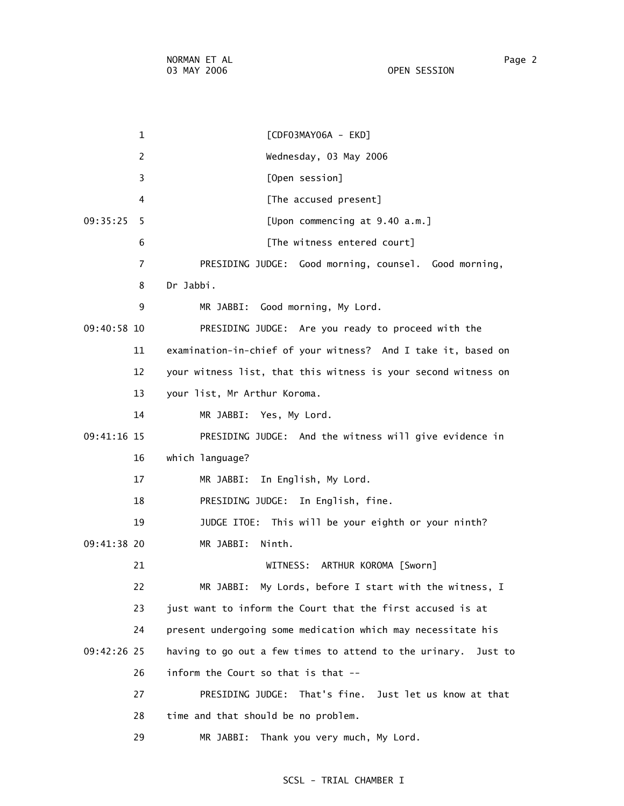| <b>OPEN SESSION</b> |
|---------------------|

 1 [CDF03MAY06A - EKD] 2 Wednesday, 03 May 2006 3 [Open session] 4 **A EXECUTE:** [The accused present] 09:35:25 5 [Upon commencing at 9.40 a.m.] 6 **IFFILE** The witness entered court] 7 PRESIDING JUDGE: Good morning, counsel. Good morning, 8 Dr Jabbi. 9 MR JABBI: Good morning, My Lord. 09:40:58 10 PRESIDING JUDGE: Are you ready to proceed with the 11 examination-in-chief of your witness? And I take it, based on 12 your witness list, that this witness is your second witness on 13 your list, Mr Arthur Koroma. 14 MR JABBI: Yes, My Lord. 09:41:16 15 PRESIDING JUDGE: And the witness will give evidence in 16 which language? 17 MR JABBI: In English, My Lord. 18 PRESIDING JUDGE: In English, fine. 19 JUDGE ITOE: This will be your eighth or your ninth? 09:41:38 20 MR JABBI: Ninth. 21 WITNESS: ARTHUR KOROMA [Sworn] 22 MR JABBI: My Lords, before I start with the witness, I 23 just want to inform the Court that the first accused is at 24 present undergoing some medication which may necessitate his 09:42:26 25 having to go out a few times to attend to the urinary. Just to 26 inform the Court so that is that -- 27 PRESIDING JUDGE: That's fine. Just let us know at that 28 time and that should be no problem. 29 MR JABBI: Thank you very much, My Lord.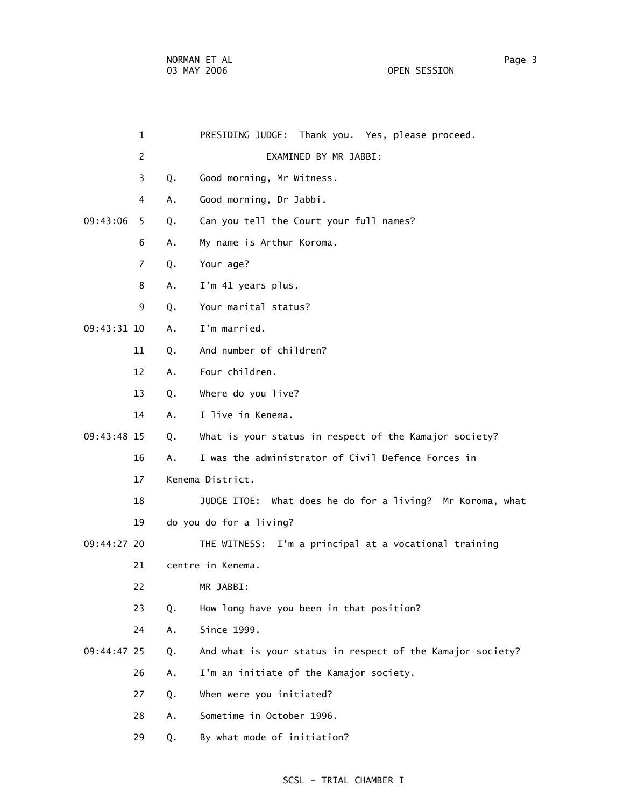OPEN SESSION

|               | $\mathbf{1}$   |    | PRESIDING JUDGE: Thank you. Yes, please proceed.           |
|---------------|----------------|----|------------------------------------------------------------|
|               | 2              |    | EXAMINED BY MR JABBI:                                      |
|               | 3              | Q. | Good morning, Mr Witness.                                  |
|               | 4              | Α. | Good morning, Dr Jabbi.                                    |
| 09:43:06      | 5              | Q. | Can you tell the Court your full names?                    |
|               | 6              | Α. | My name is Arthur Koroma.                                  |
|               | $\overline{7}$ | Q. | Your age?                                                  |
|               | 8              | Α. | I'm 41 years plus.                                         |
|               | 9              | Q. | Your marital status?                                       |
| $09:43:31$ 10 |                | Α. | I'm married.                                               |
|               | 11             | Q. | And number of children?                                    |
|               | 12             | Α. | Four children.                                             |
|               | 13             | Q. | Where do you live?                                         |
|               | 14             | Α. | I live in Kenema.                                          |
| 09:43:48 15   |                | Q. | What is your status in respect of the Kamajor society?     |
|               | 16             | Α. | I was the administrator of Civil Defence Forces in         |
|               | 17             |    | Kenema District.                                           |
|               | 18             |    | JUDGE ITOE: What does he do for a living? Mr Koroma, what  |
|               | 19             |    | do you do for a living?                                    |
| 09:44:27 20   |                |    | THE WITNESS: I'm a principal at a vocational training      |
|               | 21             |    | centre in Kenema.                                          |
|               | 22             |    | MR JABBI:                                                  |
|               | 23             | Q. | How long have you been in that position?                   |
|               | 24             | Α. | Since 1999.                                                |
| 09:44:47 25   |                | Q. | And what is your status in respect of the Kamajor society? |
|               | 26             | Α. | I'm an initiate of the Kamajor society.                    |
|               | 27             | Q. | When were you initiated?                                   |
|               | 28             | Α. | Sometime in October 1996.                                  |
|               | 29             | Q. | By what mode of initiation?                                |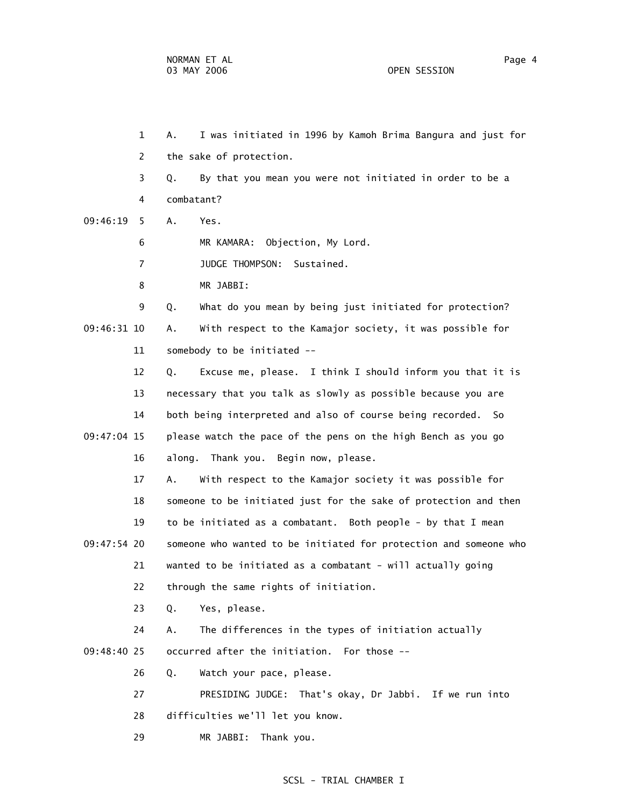1 A. I was initiated in 1996 by Kamoh Brima Bangura and just for 2 the sake of protection. 3 Q. By that you mean you were not initiated in order to be a 4 combatant? 09:46:19 5 A. Yes. 6 MR KAMARA: Objection, My Lord. 7 JUDGE THOMPSON: Sustained. 8 MR JABBI: 9 Q. What do you mean by being just initiated for protection? 09:46:31 10 A. With respect to the Kamajor society, it was possible for 11 somebody to be initiated -- 12 Q. Excuse me, please. I think I should inform you that it is 13 necessary that you talk as slowly as possible because you are 14 both being interpreted and also of course being recorded. So 09:47:04 15 please watch the pace of the pens on the high Bench as you go 16 along. Thank you. Begin now, please. 17 A. With respect to the Kamajor society it was possible for 18 someone to be initiated just for the sake of protection and then 19 to be initiated as a combatant. Both people - by that I mean 09:47:54 20 someone who wanted to be initiated for protection and someone who 21 wanted to be initiated as a combatant - will actually going 22 through the same rights of initiation. 23 Q. Yes, please. 24 A. The differences in the types of initiation actually 09:48:40 25 occurred after the initiation. For those -- 26 Q. Watch your pace, please. 27 PRESIDING JUDGE: That's okay, Dr Jabbi. If we run into 28 difficulties we'll let you know. 29 MR JABBI: Thank you.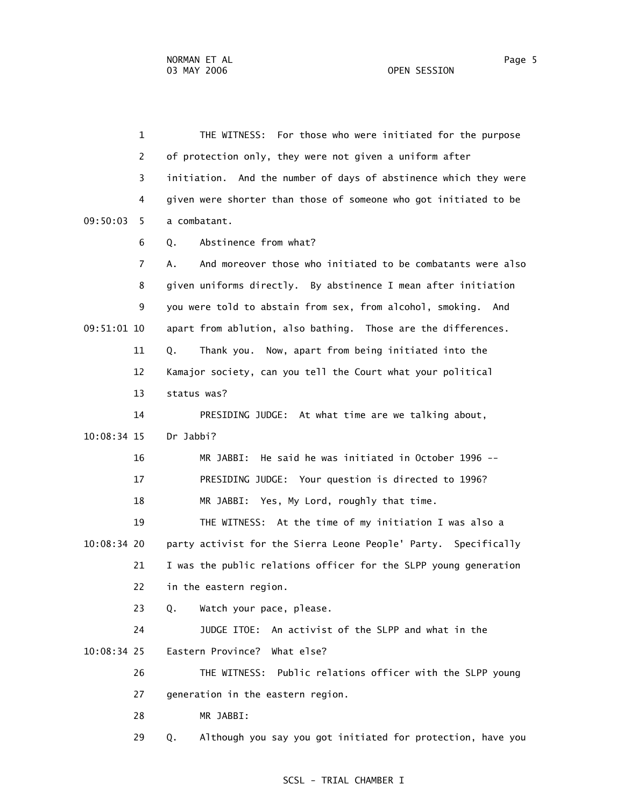1 THE WITNESS: For those who were initiated for the purpose 2 of protection only, they were not given a uniform after 3 initiation. And the number of days of abstinence which they were 4 given were shorter than those of someone who got initiated to be 09:50:03 5 a combatant. 6 Q. Abstinence from what? 7 A. And moreover those who initiated to be combatants were also 8 given uniforms directly. By abstinence I mean after initiation 9 you were told to abstain from sex, from alcohol, smoking. And 09:51:01 10 apart from ablution, also bathing. Those are the differences. 11 Q. Thank you. Now, apart from being initiated into the 12 Kamajor society, can you tell the Court what your political 13 status was? 14 PRESIDING JUDGE: At what time are we talking about, 10:08:34 15 Dr Jabbi? 16 MR JABBI: He said he was initiated in October 1996 -- 17 PRESIDING JUDGE: Your question is directed to 1996? 18 MR JABBI: Yes, My Lord, roughly that time. 19 THE WITNESS: At the time of my initiation I was also a 10:08:34 20 party activist for the Sierra Leone People' Party. Specifically 21 I was the public relations officer for the SLPP young generation 22 in the eastern region. 23 Q. Watch your pace, please. 24 JUDGE ITOE: An activist of the SLPP and what in the 10:08:34 25 Eastern Province? What else? 26 THE WITNESS: Public relations officer with the SLPP young 27 generation in the eastern region. 28 MR JABBI: 29 Q. Although you say you got initiated for protection, have you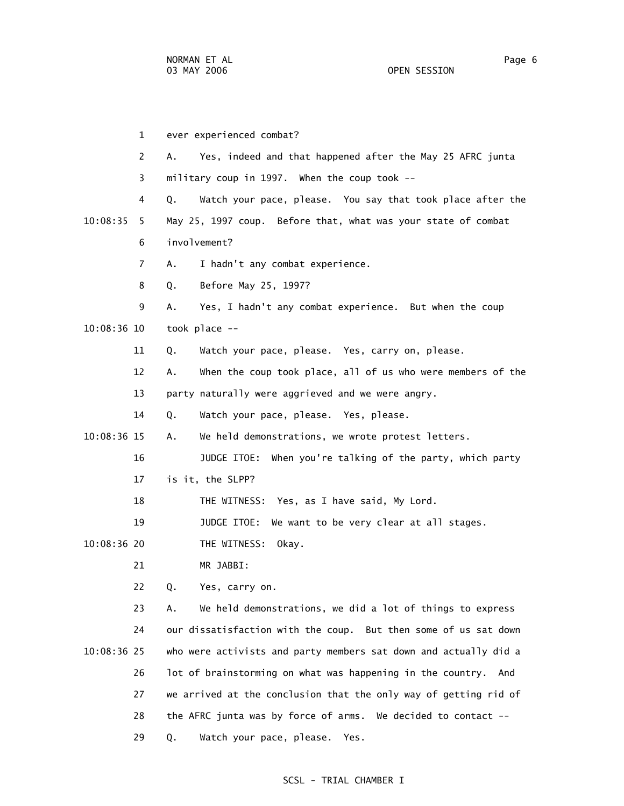1 ever experienced combat? 2 A. Yes, indeed and that happened after the May 25 AFRC junta 3 military coup in 1997. When the coup took -- 4 Q. Watch your pace, please. You say that took place after the 10:08:35 5 May 25, 1997 coup. Before that, what was your state of combat 6 involvement? 7 A. I hadn't any combat experience. 8 Q. Before May 25, 1997? 9 A. Yes, I hadn't any combat experience. But when the coup 10:08:36 10 took place -- 11 Q. Watch your pace, please. Yes, carry on, please. 12 A. When the coup took place, all of us who were members of the 13 party naturally were aggrieved and we were angry. 14 Q. Watch your pace, please. Yes, please. 10:08:36 15 A. We held demonstrations, we wrote protest letters. 16 JUDGE ITOE: When you're talking of the party, which party 17 is it, the SLPP? 18 THE WITNESS: Yes, as I have said, My Lord. 19 JUDGE ITOE: We want to be very clear at all stages. 10:08:36 20 THE WITNESS: Okay. 21 MR JABBI: 22 Q. Yes, carry on. 23 A. We held demonstrations, we did a lot of things to express 24 our dissatisfaction with the coup. But then some of us sat down 10:08:36 25 who were activists and party members sat down and actually did a 26 lot of brainstorming on what was happening in the country. And 27 we arrived at the conclusion that the only way of getting rid of 28 the AFRC junta was by force of arms. We decided to contact -- 29 Q. Watch your pace, please. Yes.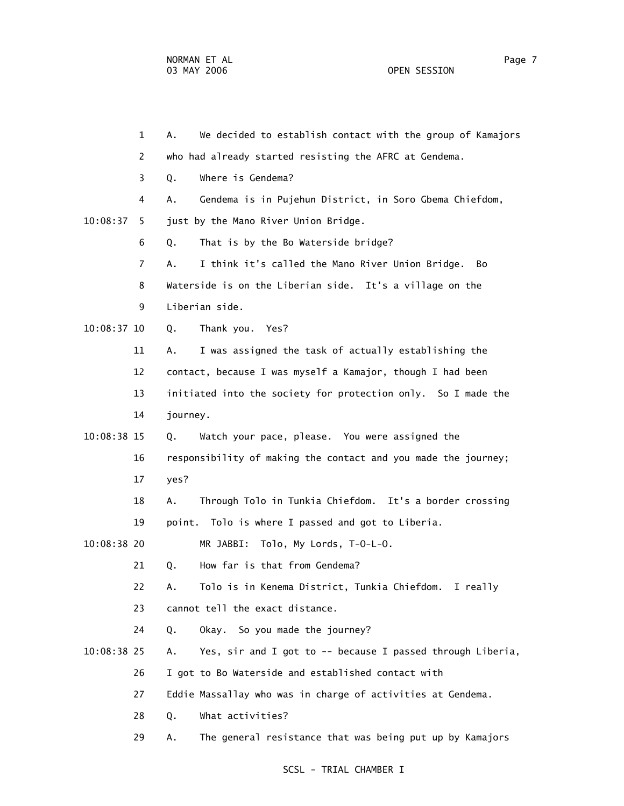1 A. We decided to establish contact with the group of Kamajors 2 who had already started resisting the AFRC at Gendema. 3 Q. Where is Gendema? 4 A. Gendema is in Pujehun District, in Soro Gbema Chiefdom, 10:08:37 5 just by the Mano River Union Bridge. 6 Q. That is by the Bo Waterside bridge? 7 A. I think it's called the Mano River Union Bridge. Bo 8 Waterside is on the Liberian side. It's a village on the 9 Liberian side. 10:08:37 10 Q. Thank you. Yes? 11 A. I was assigned the task of actually establishing the 12 contact, because I was myself a Kamajor, though I had been 13 initiated into the society for protection only. So I made the 14 journey. 10:08:38 15 Q. Watch your pace, please. You were assigned the 16 responsibility of making the contact and you made the journey; 17 yes? 18 A. Through Tolo in Tunkia Chiefdom. It's a border crossing 19 point. Tolo is where I passed and got to Liberia. 10:08:38 20 MR JABBI: Tolo, My Lords, T-O-L-O. 21 Q. How far is that from Gendema? 22 A. Tolo is in Kenema District, Tunkia Chiefdom. I really 23 cannot tell the exact distance. 24 Q. Okay. So you made the journey? 10:08:38 25 A. Yes, sir and I got to -- because I passed through Liberia, 26 I got to Bo Waterside and established contact with 27 Eddie Massallay who was in charge of activities at Gendema. 28 Q. What activities? 29 A. The general resistance that was being put up by Kamajors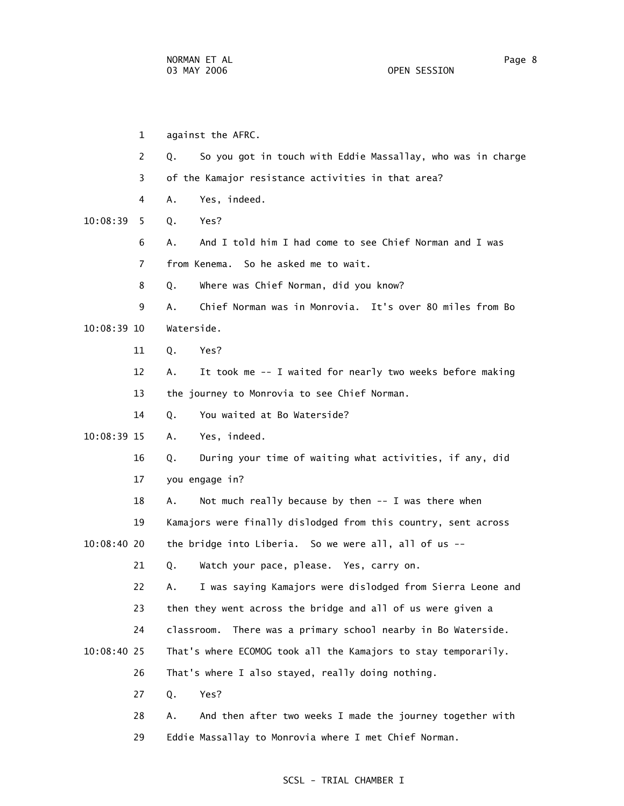1 against the AFRC. 2 Q. So you got in touch with Eddie Massallay, who was in charge 3 of the Kamajor resistance activities in that area? 4 A. Yes, indeed. 10:08:39 5 Q. Yes? 6 A. And I told him I had come to see Chief Norman and I was 7 from Kenema. So he asked me to wait. 8 Q. Where was Chief Norman, did you know? 9 A. Chief Norman was in Monrovia. It's over 80 miles from Bo 10:08:39 10 Waterside. 11 Q. Yes? 12 A. It took me -- I waited for nearly two weeks before making 13 the journey to Monrovia to see Chief Norman. 14 Q. You waited at Bo Waterside? 10:08:39 15 A. Yes, indeed. 16 Q. During your time of waiting what activities, if any, did 17 you engage in? 18 A. Not much really because by then -- I was there when 19 Kamajors were finally dislodged from this country, sent across 10:08:40 20 the bridge into Liberia. So we were all, all of us -- 21 Q. Watch your pace, please. Yes, carry on. 22 A. I was saying Kamajors were dislodged from Sierra Leone and 23 then they went across the bridge and all of us were given a 24 classroom. There was a primary school nearby in Bo Waterside. 10:08:40 25 That's where ECOMOG took all the Kamajors to stay temporarily. 26 That's where I also stayed, really doing nothing. 27 Q. Yes? 28 A. And then after two weeks I made the journey together with 29 Eddie Massallay to Monrovia where I met Chief Norman.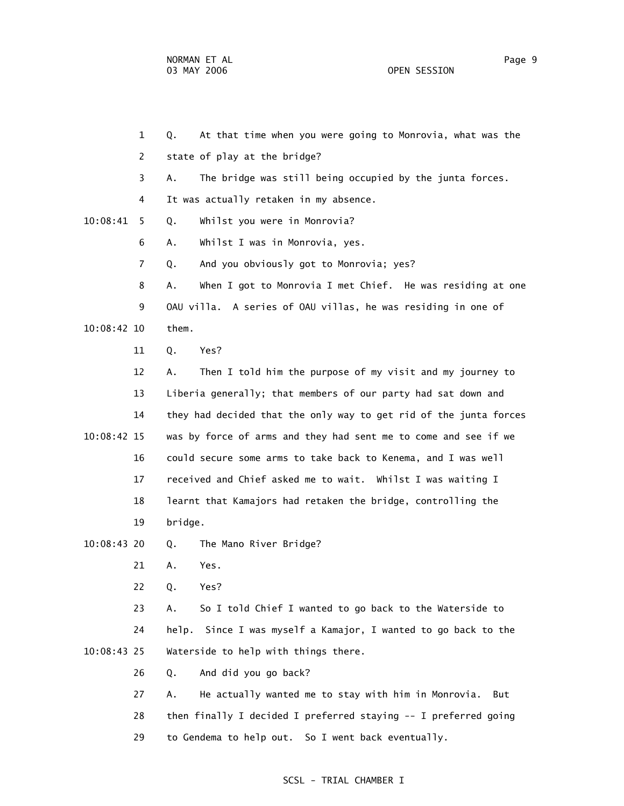1 Q. At that time when you were going to Monrovia, what was the 2 state of play at the bridge? 3 A. The bridge was still being occupied by the junta forces. 4 It was actually retaken in my absence. 10:08:41 5 Q. Whilst you were in Monrovia? 6 A. Whilst I was in Monrovia, yes. 7 Q. And you obviously got to Monrovia; yes? 8 A. When I got to Monrovia I met Chief. He was residing at one 9 OAU villa. A series of OAU villas, he was residing in one of 10:08:42 10 them. 11 Q. Yes? 12 A. Then I told him the purpose of my visit and my journey to 13 Liberia generally; that members of our party had sat down and 14 they had decided that the only way to get rid of the junta forces 10:08:42 15 was by force of arms and they had sent me to come and see if we 16 could secure some arms to take back to Kenema, and I was well 17 received and Chief asked me to wait. Whilst I was waiting I 18 learnt that Kamajors had retaken the bridge, controlling the 19 bridge. 10:08:43 20 Q. The Mano River Bridge? 21 A. Yes. 22 Q. Yes? 23 A. So I told Chief I wanted to go back to the Waterside to 24 help. Since I was myself a Kamajor, I wanted to go back to the 10:08:43 25 Waterside to help with things there. 26 Q. And did you go back? 27 A. He actually wanted me to stay with him in Monrovia. But 28 then finally I decided I preferred staying -- I preferred going 29 to Gendema to help out. So I went back eventually.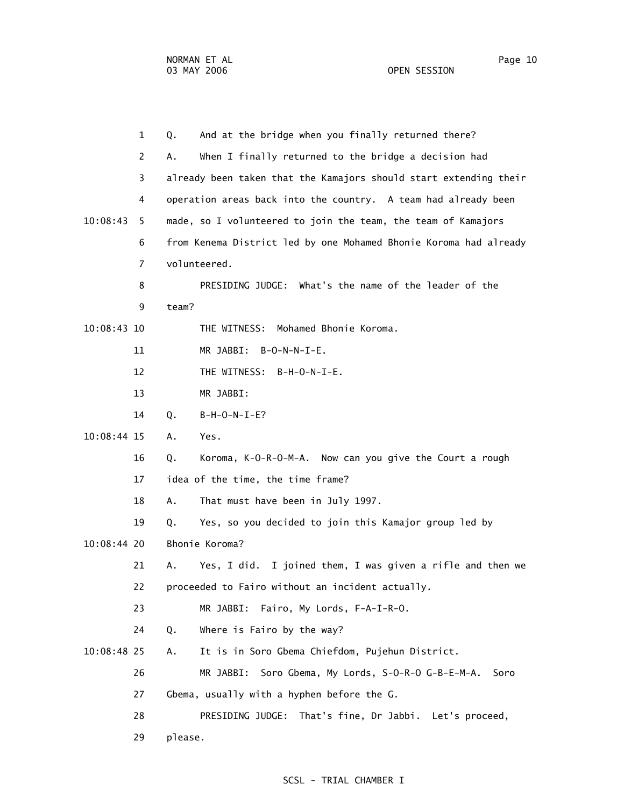|               | $\mathbf{1}$   | Q.      | And at the bridge when you finally returned there?                |
|---------------|----------------|---------|-------------------------------------------------------------------|
|               | 2              | Α.      | When I finally returned to the bridge a decision had              |
|               | 3              |         | already been taken that the Kamajors should start extending their |
|               | 4              |         | operation areas back into the country. A team had already been    |
| 10:08:43      | 5              |         | made, so I volunteered to join the team, the team of Kamajors     |
|               | 6              |         | from Kenema District led by one Mohamed Bhonie Koroma had already |
|               | $\overline{7}$ |         | volunteered.                                                      |
|               | 8              |         | PRESIDING JUDGE: What's the name of the leader of the             |
|               | 9              | team?   |                                                                   |
| $10:08:43$ 10 |                |         | Mohamed Bhonie Koroma.<br>THE WITNESS:                            |
|               | 11             |         | MR JABBI: B-O-N-N-I-E.                                            |
|               | 12             |         | THE WITNESS: B-H-O-N-I-E.                                         |
|               | 13             |         | MR JABBI:                                                         |
|               | 14             | Q.      | $B-H-O-N-I-E?$                                                    |
| $10:08:44$ 15 |                | Α.      | Yes.                                                              |
|               | 16             | Q.      | Koroma, K-O-R-O-M-A. Now can you give the Court a rough           |
|               | 17             |         | idea of the time, the time frame?                                 |
|               | 18             | Α.      | That must have been in July 1997.                                 |
|               | 19             | Q.      | Yes, so you decided to join this Kamajor group led by             |
| $10:08:44$ 20 |                |         | Bhonie Koroma?                                                    |
|               | 21             | А.      | Yes, I did. I joined them, I was given a rifle and then we        |
|               | 22             |         | proceeded to Fairo without an incident actually.                  |
|               | 23             |         | Fairo, My Lords, F-A-I-R-O.<br>MR JABBI:                          |
|               | 24             | Q.      | Where is Fairo by the way?                                        |
| 10:08:48 25   |                | Α.      | It is in Soro Gbema Chiefdom, Pujehun District.                   |
|               | 26             |         | MR JABBI:<br>Soro Gbema, My Lords, S-O-R-O G-B-E-M-A.<br>Soro     |
|               | 27             |         | Gbema, usually with a hyphen before the G.                        |
|               | 28             |         | PRESIDING JUDGE: That's fine, Dr Jabbi. Let's proceed,            |
|               | 29             | please. |                                                                   |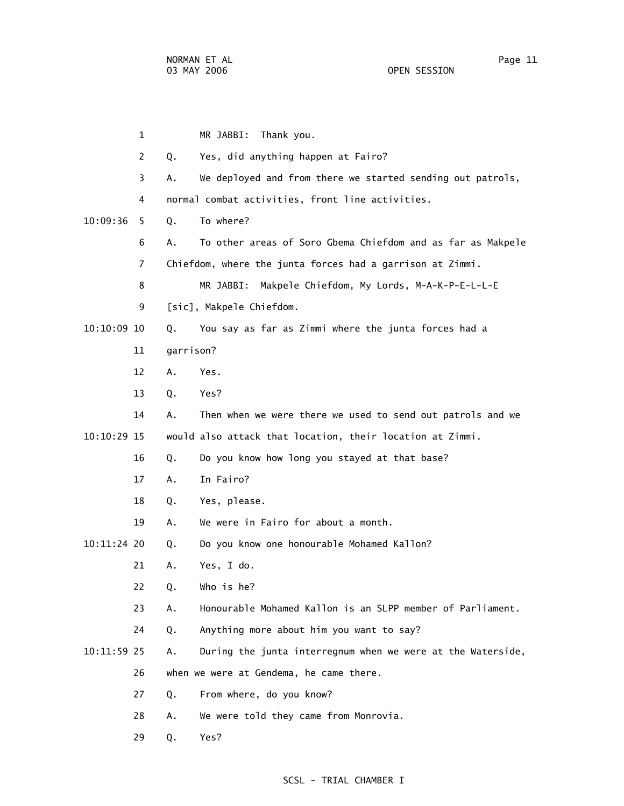1 MR JABBI: Thank you. 2 Q. Yes, did anything happen at Fairo? 3 A. We deployed and from there we started sending out patrols, 4 normal combat activities, front line activities. 10:09:36 5 Q. To where? 6 A. To other areas of Soro Gbema Chiefdom and as far as Makpele 7 Chiefdom, where the junta forces had a garrison at Zimmi. 8 MR JABBI: Makpele Chiefdom, My Lords, M-A-K-P-E-L-L-E 9 [sic], Makpele Chiefdom. 10:10:09 10 Q. You say as far as Zimmi where the junta forces had a 11 garrison? 12 A. Yes. 13 Q. Yes? 14 A. Then when we were there we used to send out patrols and we 10:10:29 15 would also attack that location, their location at Zimmi. 16 Q. Do you know how long you stayed at that base? 17 A. In Fairo? 18 Q. Yes, please. 19 A. We were in Fairo for about a month. 10:11:24 20 Q. Do you know one honourable Mohamed Kallon? 21 A. Yes, I do. 22 Q. Who is he? 23 A. Honourable Mohamed Kallon is an SLPP member of Parliament. 24 Q. Anything more about him you want to say? 10:11:59 25 A. During the junta interregnum when we were at the Waterside, 26 when we were at Gendema, he came there. 27 Q. From where, do you know? 28 A. We were told they came from Monrovia. 29 Q. Yes?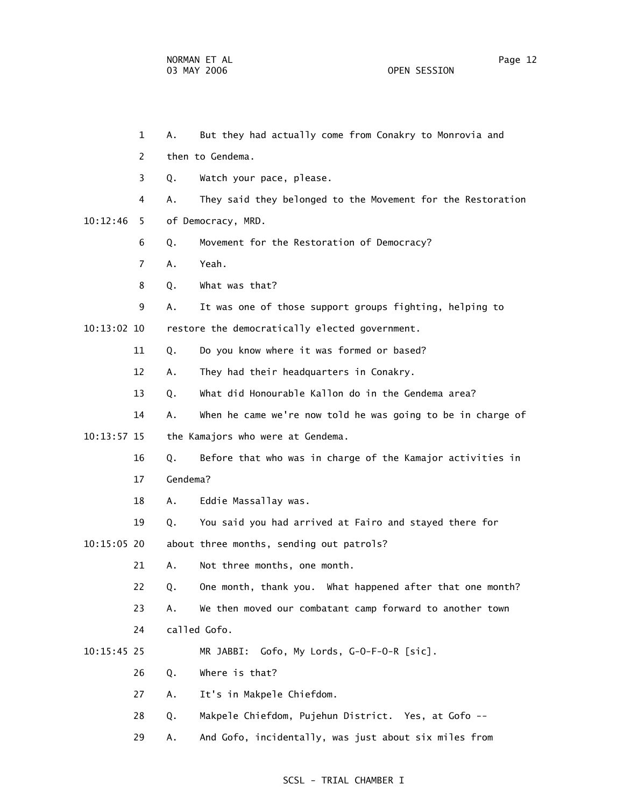1 A. But they had actually come from Conakry to Monrovia and 2 then to Gendema. 3 Q. Watch your pace, please. 4 A. They said they belonged to the Movement for the Restoration 10:12:46 5 of Democracy, MRD. 6 Q. Movement for the Restoration of Democracy? 7 A. Yeah. 8 Q. What was that? 9 A. It was one of those support groups fighting, helping to 10:13:02 10 restore the democratically elected government. 11 Q. Do you know where it was formed or based? 12 A. They had their headquarters in Conakry. 13 Q. What did Honourable Kallon do in the Gendema area? 14 A. When he came we're now told he was going to be in charge of 10:13:57 15 the Kamajors who were at Gendema. 16 Q. Before that who was in charge of the Kamajor activities in 17 Gendema? 18 A. Eddie Massallay was. 19 Q. You said you had arrived at Fairo and stayed there for 10:15:05 20 about three months, sending out patrols? 21 A. Not three months, one month. 22 Q. One month, thank you. What happened after that one month? 23 A. We then moved our combatant camp forward to another town 24 called Gofo. 10:15:45 25 MR JABBI: Gofo, My Lords, G-O-F-O-R [sic]. 26 Q. Where is that? 27 A. It's in Makpele Chiefdom. 28 Q. Makpele Chiefdom, Pujehun District. Yes, at Gofo -- 29 A. And Gofo, incidentally, was just about six miles from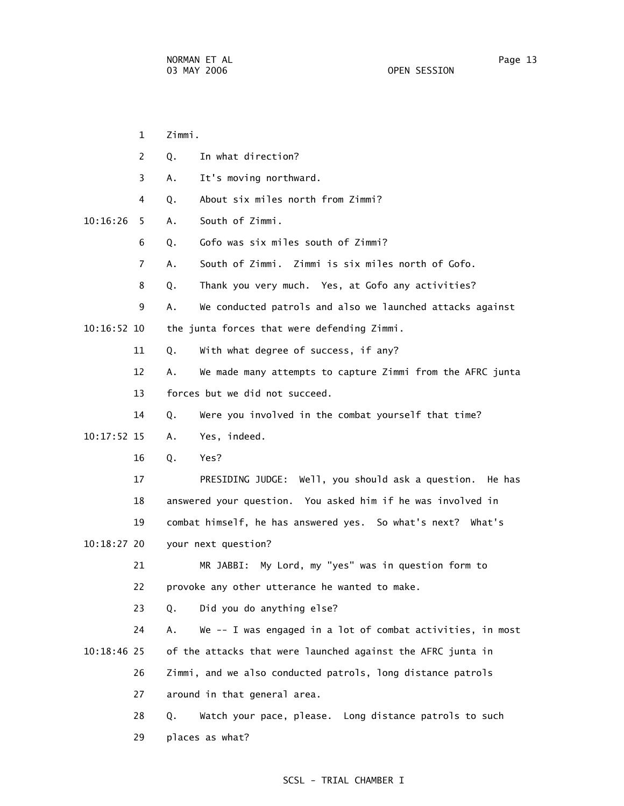| $\mathbf{1}$   | Zimmi.                                                           |
|----------------|------------------------------------------------------------------|
| 2              | In what direction?<br>Q.                                         |
| 3              | It's moving northward.<br>Α.                                     |
| 4              | About six miles north from Zimmi?<br>Q.                          |
| 10:16:26<br>5. | South of Zimmi.<br>Α.                                            |
| 6              | Gofo was six miles south of Zimmi?<br>Q.                         |
| $\overline{7}$ | South of Zimmi. Zimmi is six miles north of Gofo.<br>А.          |
| 8              | Thank you very much. Yes, at Gofo any activities?<br>Q.          |
| 9              | We conducted patrols and also we launched attacks against<br>Α.  |
| $10:16:52$ 10  | the junta forces that were defending Zimmi.                      |
| 11             | With what degree of success, if any?<br>Q.                       |
| 12             | We made many attempts to capture Zimmi from the AFRC junta<br>А. |
| 13             | forces but we did not succeed.                                   |
| 14             | Were you involved in the combat yourself that time?<br>Q.        |
| $10:17:52$ 15  | Yes, indeed.<br>Α.                                               |
| 16             | Q.<br>Yes?                                                       |
| 17             | PRESIDING JUDGE: Well, you should ask a question. He has         |
| 18             | answered your question. You asked him if he was involved in      |
| 19             | combat himself, he has answered yes. So what's next? What's      |
| $10:18:27$ 20  | your next question?                                              |
| 21             | MR JABBI: My Lord, my "yes" was in question form to              |
| 22             | provoke any other utterance he wanted to make.                   |
| 23             | Did you do anything else?<br>Q.                                  |
| 24             | We -- I was engaged in a lot of combat activities, in most<br>Α. |
| $10:18:46$ 25  | of the attacks that were launched against the AFRC junta in      |
| 26             | Zimmi, and we also conducted patrols, long distance patrols      |
| 27             | around in that general area.                                     |
| 28             | Watch your pace, please. Long distance patrols to such<br>Q.     |
| 29             | places as what?                                                  |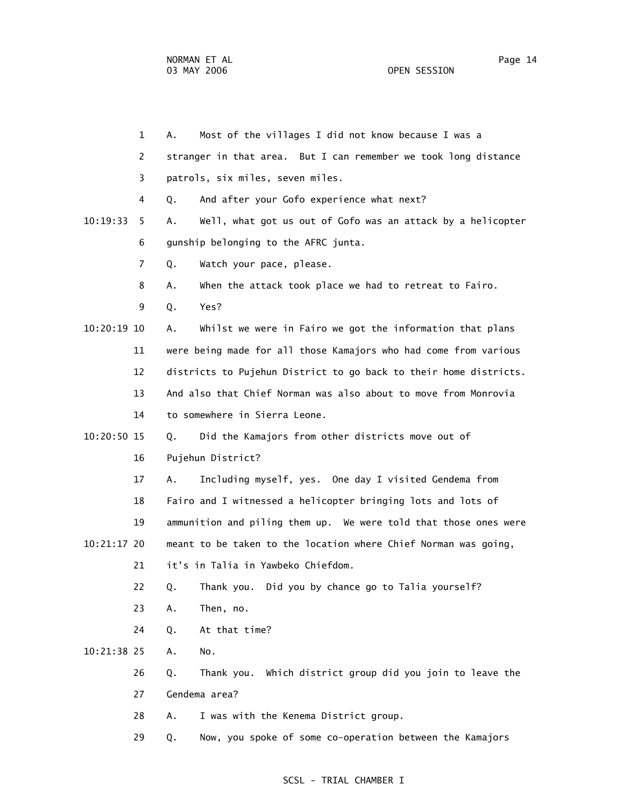1 A. Most of the villages I did not know because I was a 2 stranger in that area. But I can remember we took long distance 3 patrols, six miles, seven miles. 4 Q. And after your Gofo experience what next? 10:19:33 5 A. Well, what got us out of Gofo was an attack by a helicopter 6 gunship belonging to the AFRC junta. 7 Q. Watch your pace, please. 8 A. When the attack took place we had to retreat to Fairo. 9 Q. Yes? 10:20:19 10 A. Whilst we were in Fairo we got the information that plans 11 were being made for all those Kamajors who had come from various 12 districts to Pujehun District to go back to their home districts. 13 And also that Chief Norman was also about to move from Monrovia 14 to somewhere in Sierra Leone. 10:20:50 15 Q. Did the Kamajors from other districts move out of 16 Pujehun District? 17 A. Including myself, yes. One day I visited Gendema from 18 Fairo and I witnessed a helicopter bringing lots and lots of 19 ammunition and piling them up. We were told that those ones were 10:21:17 20 meant to be taken to the location where Chief Norman was going, 21 it's in Talia in Yawbeko Chiefdom. 22 Q. Thank you. Did you by chance go to Talia yourself? 23 A. Then, no. 24 Q. At that time? 10:21:38 25 A. No. 26 Q. Thank you. Which district group did you join to leave the 27 Gendema area? 28 A. I was with the Kenema District group. 29 Q. Now, you spoke of some co-operation between the Kamajors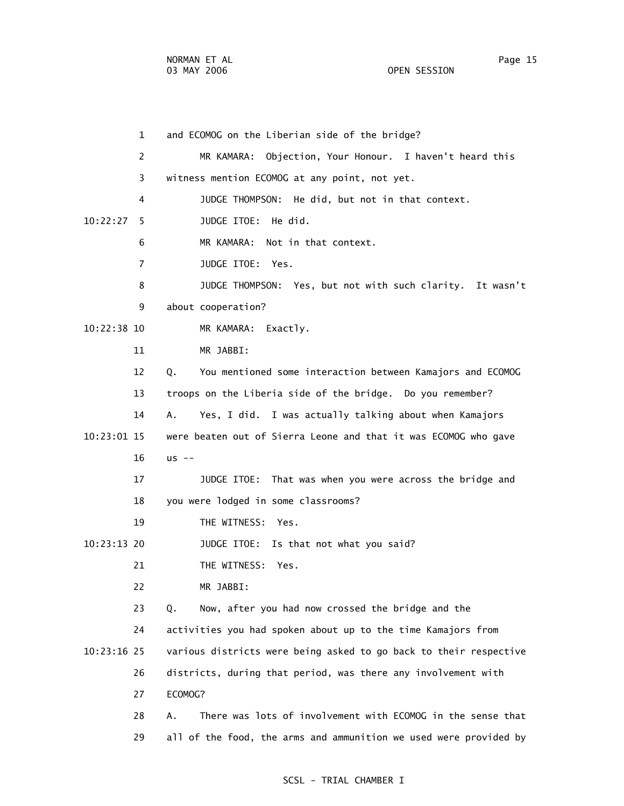1 and ECOMOG on the Liberian side of the bridge? 2 MR KAMARA: Objection, Your Honour. I haven't heard this 3 witness mention ECOMOG at any point, not yet. 4 JUDGE THOMPSON: He did, but not in that context. 10:22:27 5 JUDGE ITOE: He did. 6 MR KAMARA: Not in that context. 7 JUDGE ITOE: Yes. 8 JUDGE THOMPSON: Yes, but not with such clarity. It wasn't 9 about cooperation? 10:22:38 10 MR KAMARA: Exactly. 11 MR JABBI: 12 Q. You mentioned some interaction between Kamajors and ECOMOG 13 troops on the Liberia side of the bridge. Do you remember? 14 A. Yes, I did. I was actually talking about when Kamajors 10:23:01 15 were beaten out of Sierra Leone and that it was ECOMOG who gave 16 us -- 17 JUDGE ITOE: That was when you were across the bridge and 18 you were lodged in some classrooms? 19 THE WITNESS: Yes. 10:23:13 20 JUDGE ITOE: Is that not what you said? 21 THE WITNESS: Yes. 22 MR JABBI: 23 Q. Now, after you had now crossed the bridge and the 24 activities you had spoken about up to the time Kamajors from 10:23:16 25 various districts were being asked to go back to their respective 26 districts, during that period, was there any involvement with 27 ECOMOG? 28 A. There was lots of involvement with ECOMOG in the sense that 29 all of the food, the arms and ammunition we used were provided by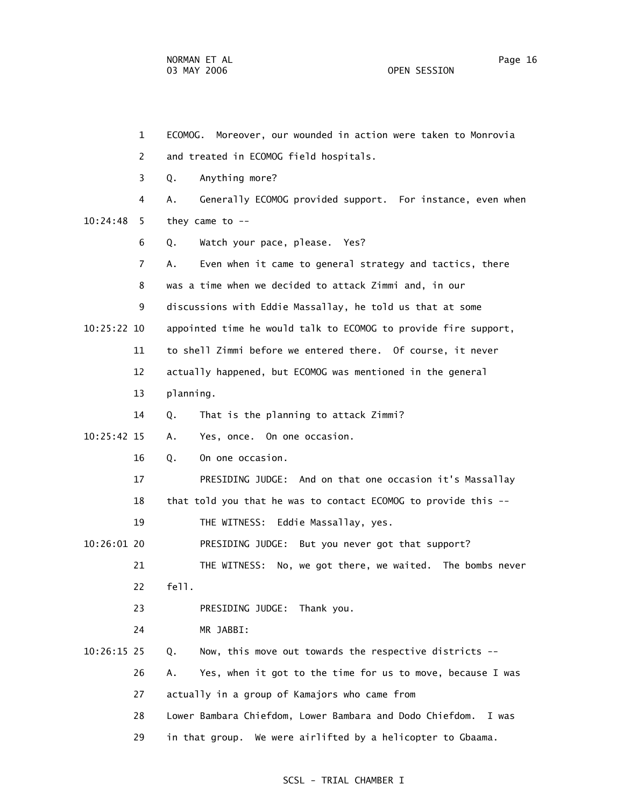1 ECOMOG. Moreover, our wounded in action were taken to Monrovia 2 and treated in ECOMOG field hospitals. 3 Q. Anything more? 4 A. Generally ECOMOG provided support. For instance, even when 10:24:48 5 they came to -- 6 Q. Watch your pace, please. Yes? 7 A. Even when it came to general strategy and tactics, there 8 was a time when we decided to attack Zimmi and, in our 9 discussions with Eddie Massallay, he told us that at some 10:25:22 10 appointed time he would talk to ECOMOG to provide fire support, 11 to shell Zimmi before we entered there. Of course, it never 12 actually happened, but ECOMOG was mentioned in the general 13 planning. 14 Q. That is the planning to attack Zimmi? 10:25:42 15 A. Yes, once. On one occasion. 16 Q. On one occasion. 17 PRESIDING JUDGE: And on that one occasion it's Massallay 18 that told you that he was to contact ECOMOG to provide this -- 19 THE WITNESS: Eddie Massallay, yes. 10:26:01 20 PRESIDING JUDGE: But you never got that support? 21 THE WITNESS: No, we got there, we waited. The bombs never 22 fell. 23 PRESIDING JUDGE: Thank you. 24 MR JABBI: 10:26:15 25 Q. Now, this move out towards the respective districts -- 26 A. Yes, when it got to the time for us to move, because I was 27 actually in a group of Kamajors who came from 28 Lower Bambara Chiefdom, Lower Bambara and Dodo Chiefdom. I was 29 in that group. We were airlifted by a helicopter to Gbaama.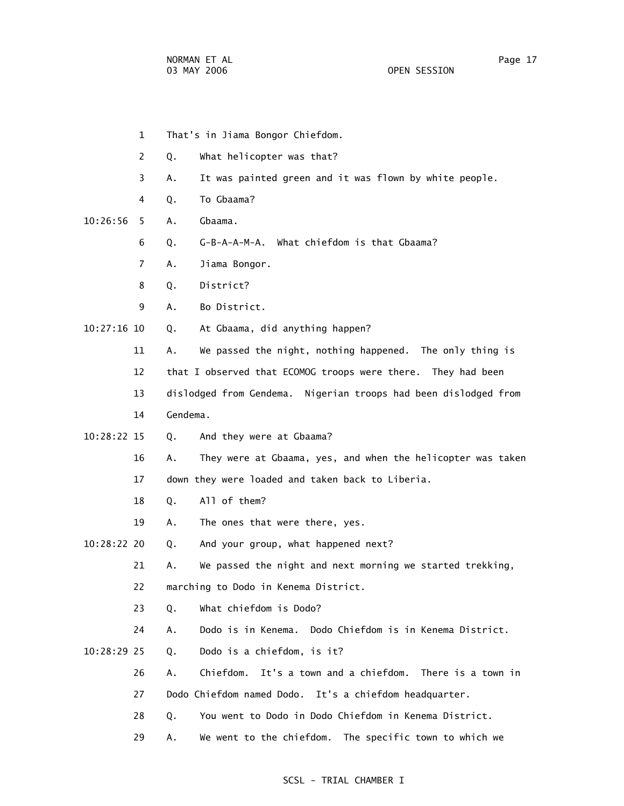- 1 That's in Jiama Bongor Chiefdom.
- 2 Q. What helicopter was that?
- 3 A. It was painted green and it was flown by white people.
- 4 Q. To Gbaama?
- 10:26:56 5 A. Gbaama.
	- 6 Q. G-B-A-A-M-A. What chiefdom is that Gbaama?
	- 7 A. Jiama Bongor.
	- 8 Q. District?
	- 9 A. Bo District.
- 10:27:16 10 Q. At Gbaama, did anything happen?
	- 11 A. We passed the night, nothing happened. The only thing is
	- 12 that I observed that ECOMOG troops were there. They had been
	- 13 dislodged from Gendema. Nigerian troops had been dislodged from
	- 14 Gendema.
- 10:28:22 15 Q. And they were at Gbaama?
	- 16 A. They were at Gbaama, yes, and when the helicopter was taken 17 down they were loaded and taken back to Liberia.
	- 18 Q. All of them?
	- 19 A. The ones that were there, yes.
- 10:28:22 20 Q. And your group, what happened next?
	- 21 A. We passed the night and next morning we started trekking,
	- 22 marching to Dodo in Kenema District.
	- 23 Q. What chiefdom is Dodo?
	- 24 A. Dodo is in Kenema. Dodo Chiefdom is in Kenema District.
- 10:28:29 25 Q. Dodo is a chiefdom, is it?
	- 26 A. Chiefdom. It's a town and a chiefdom. There is a town in
	- 27 Dodo Chiefdom named Dodo. It's a chiefdom headquarter.
	- 28 Q. You went to Dodo in Dodo Chiefdom in Kenema District.
	- 29 A. We went to the chiefdom. The specific town to which we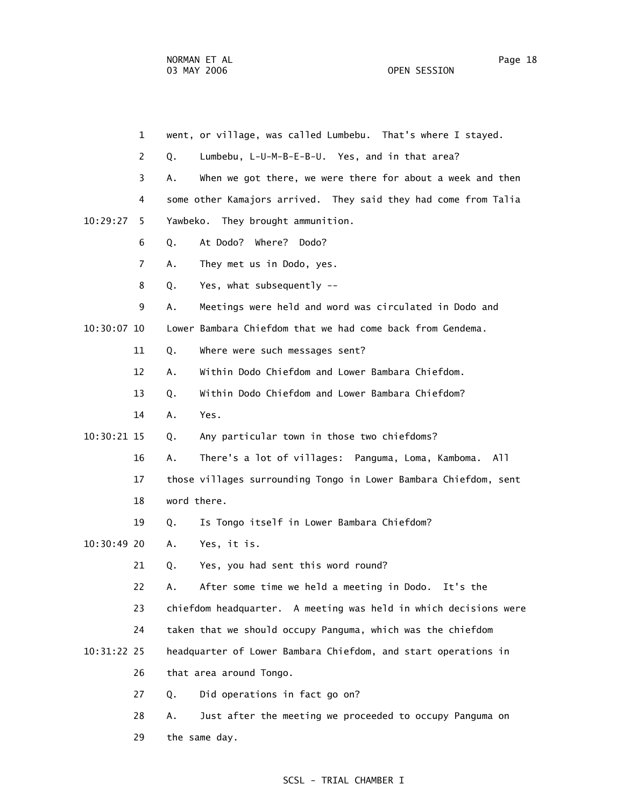1 went, or village, was called Lumbebu. That's where I stayed. 2 Q. Lumbebu, L-U-M-B-E-B-U. Yes, and in that area? 3 A. When we got there, we were there for about a week and then 4 some other Kamajors arrived. They said they had come from Talia 10:29:27 5 Yawbeko. They brought ammunition. 6 Q. At Dodo? Where? Dodo? 7 A. They met us in Dodo, yes. 8 Q. Yes, what subsequently -- 9 A. Meetings were held and word was circulated in Dodo and 10:30:07 10 Lower Bambara Chiefdom that we had come back from Gendema. 11 Q. Where were such messages sent? 12 A. Within Dodo Chiefdom and Lower Bambara Chiefdom. 13 Q. Within Dodo Chiefdom and Lower Bambara Chiefdom? 14 A. Yes. 10:30:21 15 Q. Any particular town in those two chiefdoms? 16 A. There's a lot of villages: Panguma, Loma, Kamboma. All 17 those villages surrounding Tongo in Lower Bambara Chiefdom, sent 18 word there. 19 Q. Is Tongo itself in Lower Bambara Chiefdom? 10:30:49 20 A. Yes, it is. 21 Q. Yes, you had sent this word round? 22 A. After some time we held a meeting in Dodo. It's the 23 chiefdom headquarter. A meeting was held in which decisions were 24 taken that we should occupy Panguma, which was the chiefdom 10:31:22 25 headquarter of Lower Bambara Chiefdom, and start operations in 26 that area around Tongo. 27 Q. Did operations in fact go on? 28 A. Just after the meeting we proceeded to occupy Panguma on 29 the same day.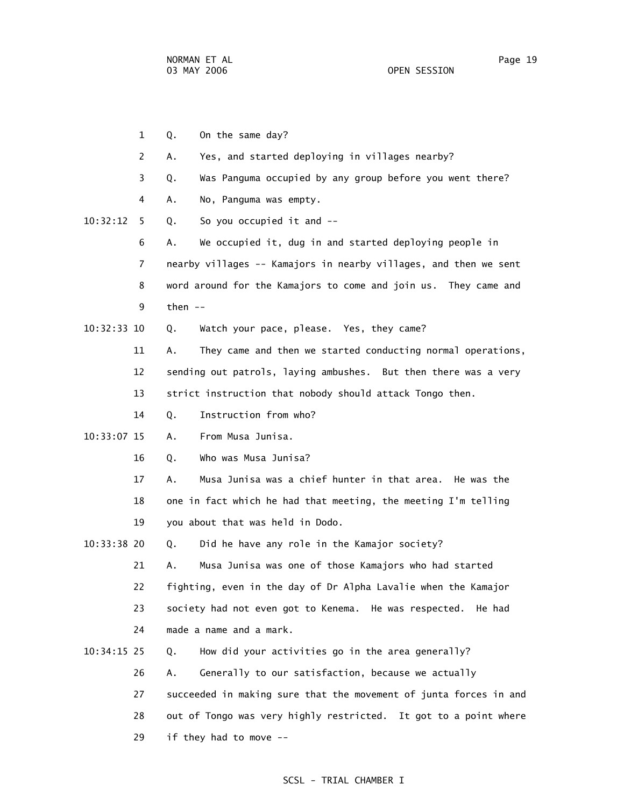1 Q. On the same day? 2 A. Yes, and started deploying in villages nearby? 3 Q. Was Panguma occupied by any group before you went there? 4 A. No, Panguma was empty. 10:32:12 5 Q. So you occupied it and -- 6 A. We occupied it, dug in and started deploying people in 7 nearby villages -- Kamajors in nearby villages, and then we sent 8 word around for the Kamajors to come and join us. They came and 9 then -- 10:32:33 10 Q. Watch your pace, please. Yes, they came? 11 A. They came and then we started conducting normal operations, 12 sending out patrols, laying ambushes. But then there was a very 13 strict instruction that nobody should attack Tongo then. 14 Q. Instruction from who? 10:33:07 15 A. From Musa Junisa. 16 Q. Who was Musa Junisa? 17 A. Musa Junisa was a chief hunter in that area. He was the 18 one in fact which he had that meeting, the meeting I'm telling 19 you about that was held in Dodo. 10:33:38 20 Q. Did he have any role in the Kamajor society? 21 A. Musa Junisa was one of those Kamajors who had started 22 fighting, even in the day of Dr Alpha Lavalie when the Kamajor 23 society had not even got to Kenema. He was respected. He had 24 made a name and a mark. 10:34:15 25 Q. How did your activities go in the area generally? 26 A. Generally to our satisfaction, because we actually 27 succeeded in making sure that the movement of junta forces in and 28 out of Tongo was very highly restricted. It got to a point where 29 if they had to move --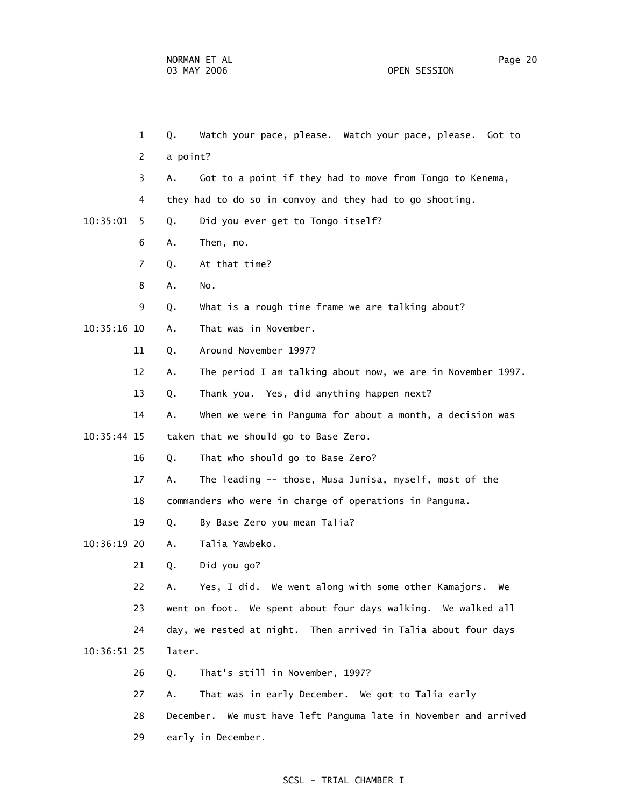1 Q. Watch your pace, please. Watch your pace, please. Got to 2 a point? 3 A. Got to a point if they had to move from Tongo to Kenema, 4 they had to do so in convoy and they had to go shooting. 10:35:01 5 Q. Did you ever get to Tongo itself? 6 A. Then, no. 7 Q. At that time? 8 A. No. 9 Q. What is a rough time frame we are talking about? 10:35:16 10 A. That was in November. 11 Q. Around November 1997? 12 A. The period I am talking about now, we are in November 1997. 13 Q. Thank you. Yes, did anything happen next? 14 A. When we were in Panguma for about a month, a decision was 10:35:44 15 taken that we should go to Base Zero. 16 Q. That who should go to Base Zero? 17 A. The leading -- those, Musa Junisa, myself, most of the 18 commanders who were in charge of operations in Panguma. 19 Q. By Base Zero you mean Talia? 10:36:19 20 A. Talia Yawbeko. 21 Q. Did you go? 22 A. Yes, I did. We went along with some other Kamajors. We 23 went on foot. We spent about four days walking. We walked all 24 day, we rested at night. Then arrived in Talia about four days 10:36:51 25 later. 26 Q. That's still in November, 1997? 27 A. That was in early December. We got to Talia early 28 December. We must have left Panguma late in November and arrived

29 early in December.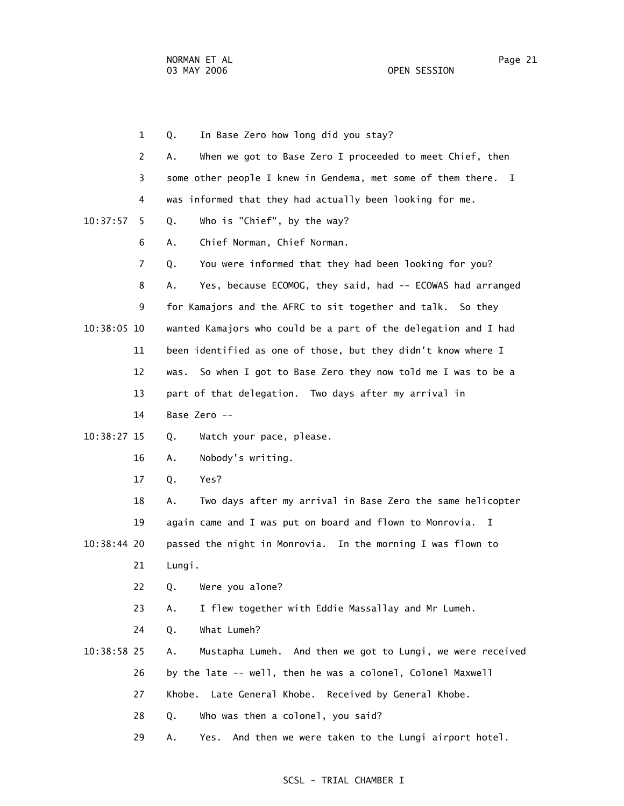1 Q. In Base Zero how long did you stay? 2 A. When we got to Base Zero I proceeded to meet Chief, then 3 some other people I knew in Gendema, met some of them there. I 4 was informed that they had actually been looking for me. 10:37:57 5 Q. Who is "Chief", by the way? 6 A. Chief Norman, Chief Norman. 7 Q. You were informed that they had been looking for you? 8 A. Yes, because ECOMOG, they said, had -- ECOWAS had arranged 9 for Kamajors and the AFRC to sit together and talk. So they 10:38:05 10 wanted Kamajors who could be a part of the delegation and I had 11 been identified as one of those, but they didn't know where I 12 was. So when I got to Base Zero they now told me I was to be a 13 part of that delegation. Two days after my arrival in 14 Base Zero -- 10:38:27 15 Q. Watch your pace, please. 16 A. Nobody's writing. 17 Q. Yes? 18 A. Two days after my arrival in Base Zero the same helicopter 19 again came and I was put on board and flown to Monrovia. I 10:38:44 20 passed the night in Monrovia. In the morning I was flown to 21 Lungi. 22 Q. Were you alone? 23 A. I flew together with Eddie Massallay and Mr Lumeh. 24 Q. What Lumeh? 10:38:58 25 A. Mustapha Lumeh. And then we got to Lungi, we were received 26 by the late -- well, then he was a colonel, Colonel Maxwell 27 Khobe. Late General Khobe. Received by General Khobe. 28 Q. Who was then a colonel, you said? 29 A. Yes. And then we were taken to the Lungi airport hotel.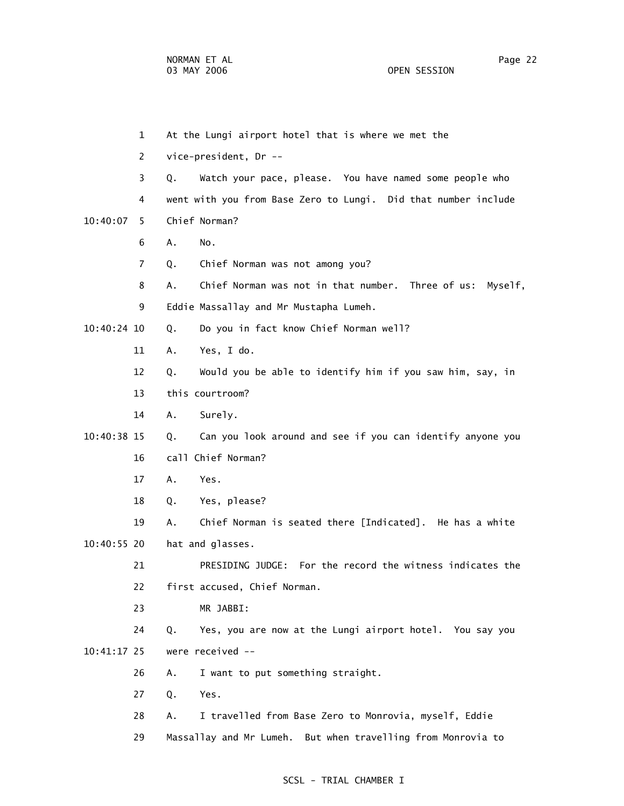- 1 At the Lungi airport hotel that is where we met the 2 vice-president, Dr -- 3 Q. Watch your pace, please. You have named some people who 4 went with you from Base Zero to Lungi. Did that number include 10:40:07 5 Chief Norman? 6 A. No. 7 Q. Chief Norman was not among you? 8 A. Chief Norman was not in that number. Three of us: Myself, 9 Eddie Massallay and Mr Mustapha Lumeh. 10:40:24 10 Q. Do you in fact know Chief Norman well? 11 A. Yes, I do. 12 Q. Would you be able to identify him if you saw him, say, in 13 this courtroom? 14 A. Surely. 10:40:38 15 Q. Can you look around and see if you can identify anyone you 16 call Chief Norman? 17 A. Yes. 18 Q. Yes, please? 19 A. Chief Norman is seated there [Indicated]. He has a white 10:40:55 20 hat and glasses. 21 PRESIDING JUDGE: For the record the witness indicates the 22 first accused, Chief Norman. 23 MR JABBI: 24 Q. Yes, you are now at the Lungi airport hotel. You say you 10:41:17 25 were received -- 26 A. I want to put something straight. 27 Q. Yes. 28 A. I travelled from Base Zero to Monrovia, myself, Eddie
	- 29 Massallay and Mr Lumeh. But when travelling from Monrovia to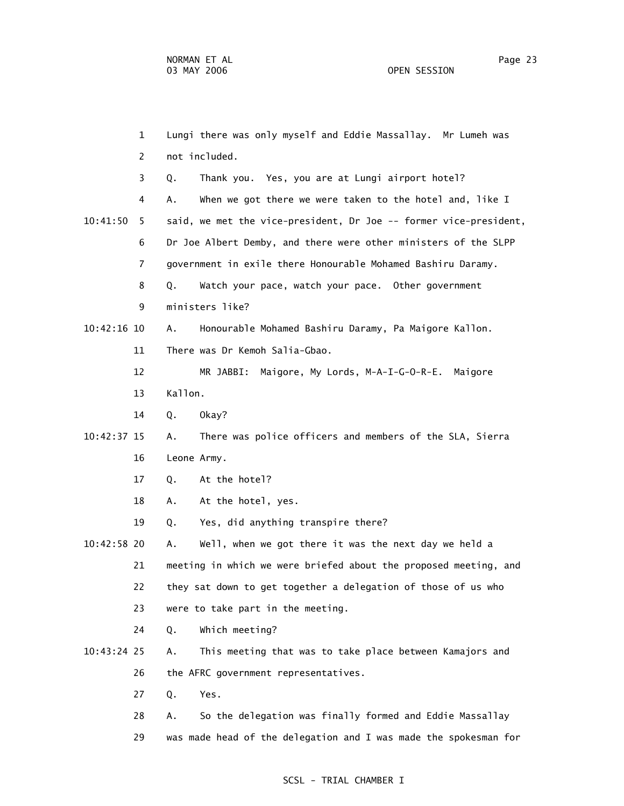1 Lungi there was only myself and Eddie Massallay. Mr Lumeh was 2 not included. 3 Q. Thank you. Yes, you are at Lungi airport hotel? 4 A. When we got there we were taken to the hotel and, like I 10:41:50 5 said, we met the vice-president, Dr Joe -- former vice-president, 6 Dr Joe Albert Demby, and there were other ministers of the SLPP 7 government in exile there Honourable Mohamed Bashiru Daramy. 8 Q. Watch your pace, watch your pace. Other government 9 ministers like? 10:42:16 10 A. Honourable Mohamed Bashiru Daramy, Pa Maigore Kallon. 11 There was Dr Kemoh Salia-Gbao. 12 MR JABBI: Maigore, My Lords, M-A-I-G-O-R-E. Maigore 13 Kallon. 14 Q. Okay? 10:42:37 15 A. There was police officers and members of the SLA, Sierra 16 Leone Army. 17 Q. At the hotel? 18 A. At the hotel, yes. 19 Q. Yes, did anything transpire there? 10:42:58 20 A. Well, when we got there it was the next day we held a 21 meeting in which we were briefed about the proposed meeting, and 22 they sat down to get together a delegation of those of us who 23 were to take part in the meeting. 24 Q. Which meeting? 10:43:24 25 A. This meeting that was to take place between Kamajors and 26 the AFRC government representatives. 27 Q. Yes. 28 A. So the delegation was finally formed and Eddie Massallay 29 was made head of the delegation and I was made the spokesman for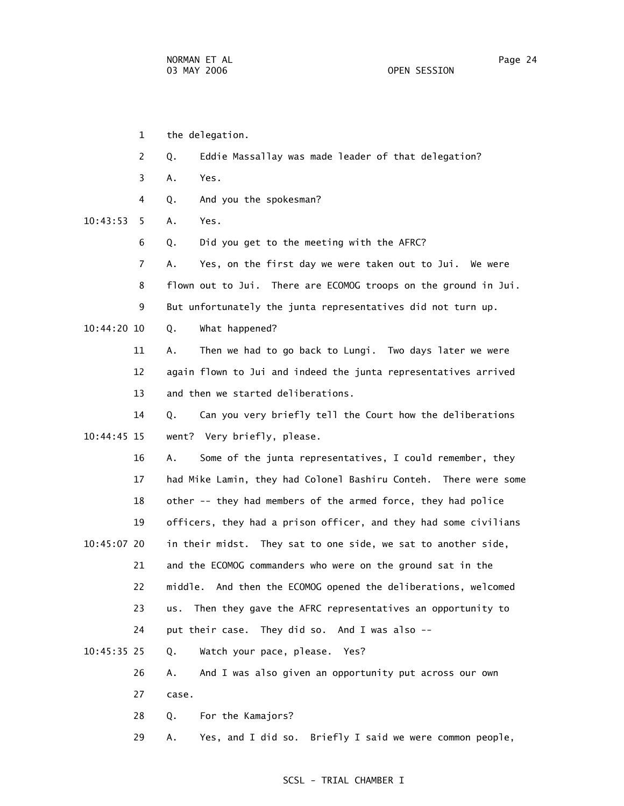- 1 the delegation.
- 2 Q. Eddie Massallay was made leader of that delegation?
- 3 A. Yes.
- 4 Q. And you the spokesman?

10:43:53 5 A. Yes.

- 6 Q. Did you get to the meeting with the AFRC?
- 7 A. Yes, on the first day we were taken out to Jui. We were 8 flown out to Jui. There are ECOMOG troops on the ground in Jui.
- 9 But unfortunately the junta representatives did not turn up.

10:44:20 10 Q. What happened?

- 11 A. Then we had to go back to Lungi. Two days later we were 12 again flown to Jui and indeed the junta representatives arrived 13 and then we started deliberations.
- 14 Q. Can you very briefly tell the Court how the deliberations 10:44:45 15 went? Very briefly, please.
- 16 A. Some of the junta representatives, I could remember, they 17 had Mike Lamin, they had Colonel Bashiru Conteh. There were some 18 other -- they had members of the armed force, they had police 19 officers, they had a prison officer, and they had some civilians 10:45:07 20 in their midst. They sat to one side, we sat to another side,
- 21 and the ECOMOG commanders who were on the ground sat in the 22 middle. And then the ECOMOG opened the deliberations, welcomed 23 us. Then they gave the AFRC representatives an opportunity to 24 put their case. They did so. And I was also --
- 10:45:35 25 Q. Watch your pace, please. Yes?
	- 26 A. And I was also given an opportunity put across our own 27 case.
	- 28 Q. For the Kamajors?
	- 29 A. Yes, and I did so. Briefly I said we were common people,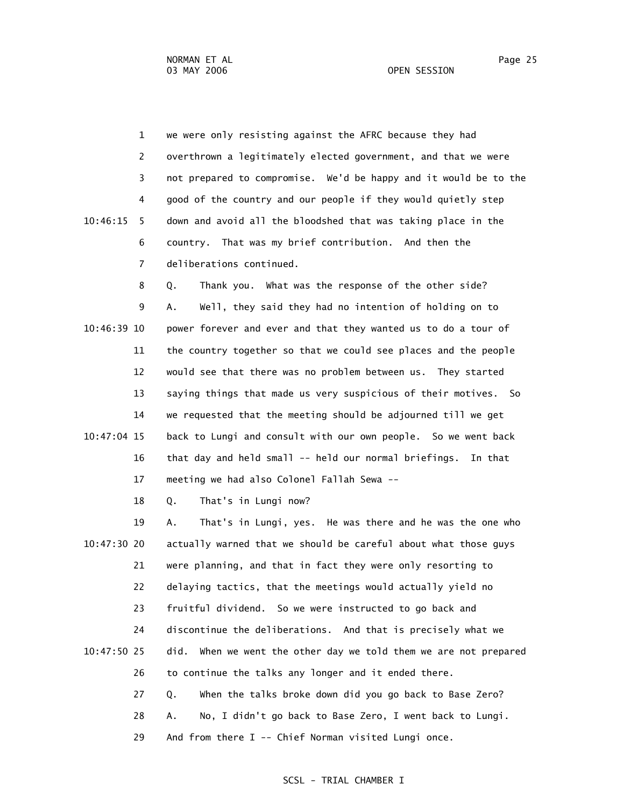1 we were only resisting against the AFRC because they had 2 overthrown a legitimately elected government, and that we were 3 not prepared to compromise. We'd be happy and it would be to the 4 good of the country and our people if they would quietly step 10:46:15 5 down and avoid all the bloodshed that was taking place in the 6 country. That was my brief contribution. And then the 7 deliberations continued.

 8 Q. Thank you. What was the response of the other side? 9 A. Well, they said they had no intention of holding on to 10:46:39 10 power forever and ever and that they wanted us to do a tour of 11 the country together so that we could see places and the people 12 would see that there was no problem between us. They started 13 saying things that made us very suspicious of their motives. So 14 we requested that the meeting should be adjourned till we get 10:47:04 15 back to Lungi and consult with our own people. So we went back 16 that day and held small -- held our normal briefings. In that 17 meeting we had also Colonel Fallah Sewa --

18 Q. That's in Lungi now?

 19 A. That's in Lungi, yes. He was there and he was the one who 10:47:30 20 actually warned that we should be careful about what those guys 21 were planning, and that in fact they were only resorting to 22 delaying tactics, that the meetings would actually yield no 23 fruitful dividend. So we were instructed to go back and 24 discontinue the deliberations. And that is precisely what we 10:47:50 25 did. When we went the other day we told them we are not prepared 26 to continue the talks any longer and it ended there. 27 Q. When the talks broke down did you go back to Base Zero? 28 A. No, I didn't go back to Base Zero, I went back to Lungi. 29 And from there I -- Chief Norman visited Lungi once.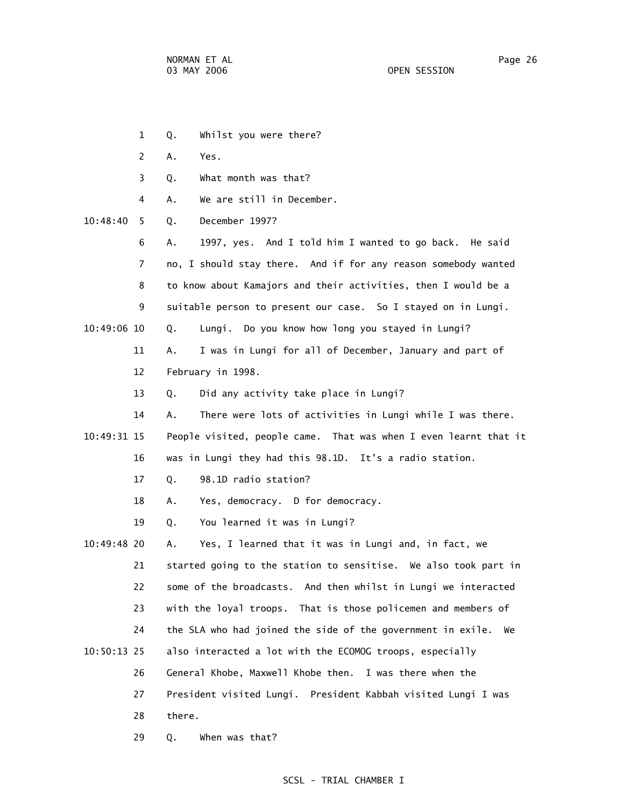- 1 Q. Whilst you were there? 2 A. Yes. 3 Q. What month was that? 4 A. We are still in December. 10:48:40 5 Q. December 1997? 6 A. 1997, yes. And I told him I wanted to go back. He said 7 no, I should stay there. And if for any reason somebody wanted 8 to know about Kamajors and their activities, then I would be a 9 suitable person to present our case. So I stayed on in Lungi. 10:49:06 10 Q. Lungi. Do you know how long you stayed in Lungi? 11 A. I was in Lungi for all of December, January and part of 12 February in 1998. 13 Q. Did any activity take place in Lungi? 14 A. There were lots of activities in Lungi while I was there. 10:49:31 15 People visited, people came. That was when I even learnt that it 16 was in Lungi they had this 98.1D. It's a radio station. 17 Q. 98.1D radio station? 18 A. Yes, democracy. D for democracy. 19 Q. You learned it was in Lungi? 10:49:48 20 A. Yes, I learned that it was in Lungi and, in fact, we 21 started going to the station to sensitise. We also took part in 22 some of the broadcasts. And then whilst in Lungi we interacted 23 with the loyal troops. That is those policemen and members of 24 the SLA who had joined the side of the government in exile. We 10:50:13 25 also interacted a lot with the ECOMOG troops, especially 26 General Khobe, Maxwell Khobe then. I was there when the 27 President visited Lungi. President Kabbah visited Lungi I was 28 there.
	- 29 Q. When was that?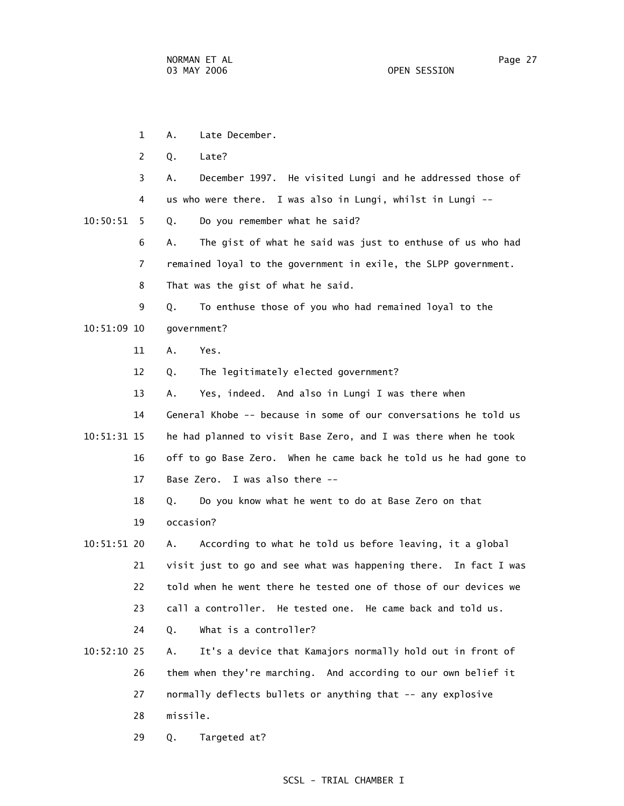1 A. Late December. 2 Q. Late? 3 A. December 1997. He visited Lungi and he addressed those of 4 us who were there. I was also in Lungi, whilst in Lungi -- 10:50:51 5 Q. Do you remember what he said? 6 A. The gist of what he said was just to enthuse of us who had 7 remained loyal to the government in exile, the SLPP government. 8 That was the gist of what he said. 9 Q. To enthuse those of you who had remained loyal to the 10:51:09 10 government? 11 A. Yes. 12 Q. The legitimately elected government? 13 A. Yes, indeed. And also in Lungi I was there when 14 General Khobe -- because in some of our conversations he told us 10:51:31 15 he had planned to visit Base Zero, and I was there when he took 16 off to go Base Zero. When he came back he told us he had gone to 17 Base Zero. I was also there -- 18 Q. Do you know what he went to do at Base Zero on that 19 occasion? 10:51:51 20 A. According to what he told us before leaving, it a global 21 visit just to go and see what was happening there. In fact I was 22 told when he went there he tested one of those of our devices we 23 call a controller. He tested one. He came back and told us. 24 Q. What is a controller? 10:52:10 25 A. It's a device that Kamajors normally hold out in front of 26 them when they're marching. And according to our own belief it 27 normally deflects bullets or anything that -- any explosive 28 missile. 29 Q. Targeted at?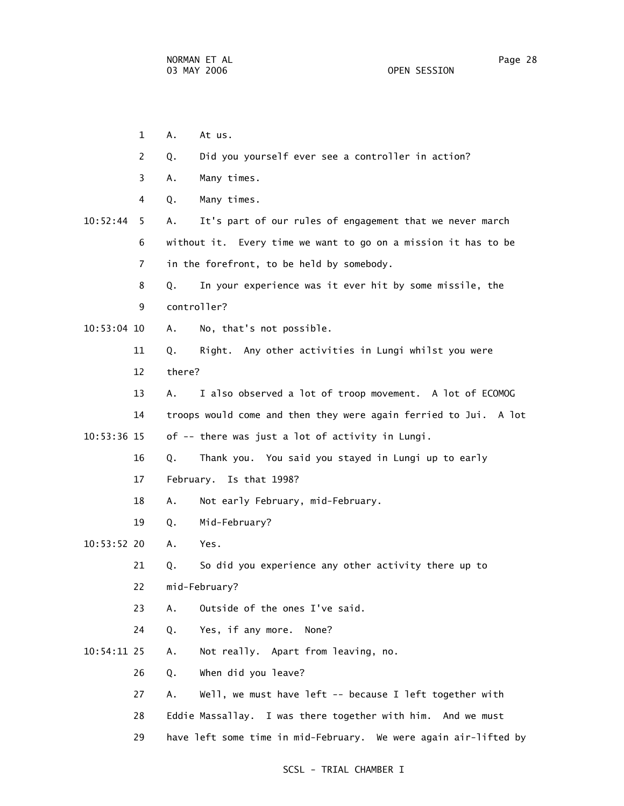- 1 A. At us.
- 2 Q. Did you yourself ever see a controller in action?
- 3 A. Many times.
- 4 Q. Many times.
- 10:52:44 5 A. It's part of our rules of engagement that we never march 6 without it. Every time we want to go on a mission it has to be 7 in the forefront, to be held by somebody.
	- 8 Q. In your experience was it ever hit by some missile, the
	- 9 controller?
- 10:53:04 10 A. No, that's not possible.
	- 11 Q. Right. Any other activities in Lungi whilst you were
	- 12 there?
- 13 A. I also observed a lot of troop movement. A lot of ECOMOG 14 troops would come and then they were again ferried to Jui. A lot 10:53:36 15 of -- there was just a lot of activity in Lungi.
	- 16 Q. Thank you. You said you stayed in Lungi up to early
	- 17 February. Is that 1998?
	- 18 A. Not early February, mid-February.
	- 19 Q. Mid-February?
- 10:53:52 20 A. Yes.
	- 21 Q. So did you experience any other activity there up to
	- 22 mid-February?
	- 23 A. Outside of the ones I've said.
	- 24 Q. Yes, if any more. None?
- 10:54:11 25 A. Not really. Apart from leaving, no.
	- 26 Q. When did you leave?
	- 27 A. Well, we must have left -- because I left together with
	- 28 Eddie Massallay. I was there together with him. And we must
	- 29 have left some time in mid-February. We were again air-lifted by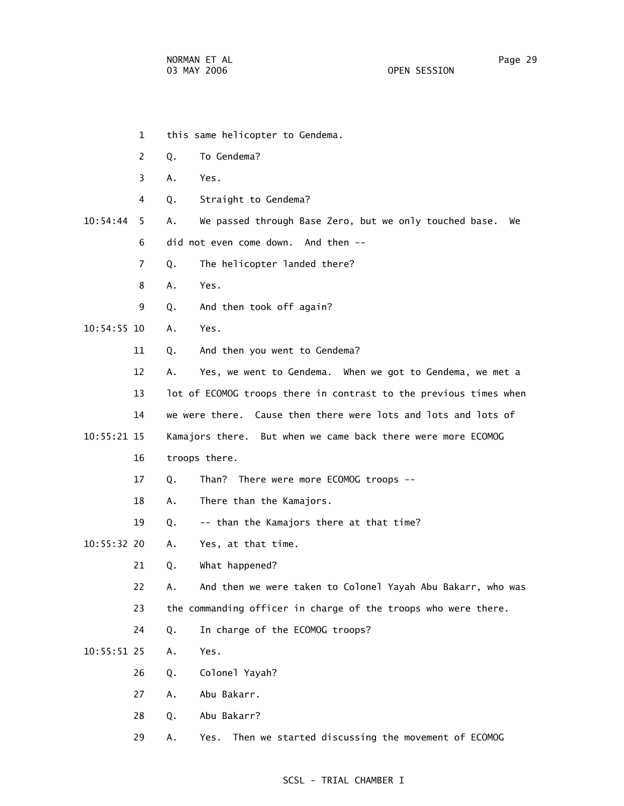- 1 this same helicopter to Gendema.
- 2 Q. To Gendema?
- 3 A. Yes.
- 4 Q. Straight to Gendema?
- 10:54:44 5 A. We passed through Base Zero, but we only touched base. We 6 did not even come down. And then --
	- 7 Q. The helicopter landed there?
	- 8 A. Yes.
	- 9 Q. And then took off again?
- 10:54:55 10 A. Yes.
	- 11 Q. And then you went to Gendema?
	- 12 A. Yes, we went to Gendema. When we got to Gendema, we met a
	- 13 lot of ECOMOG troops there in contrast to the previous times when
	- 14 we were there. Cause then there were lots and lots and lots of
- 10:55:21 15 Kamajors there. But when we came back there were more ECOMOG
	- 16 troops there.
	- 17 Q. Than? There were more ECOMOG troops --
	- 18 A. There than the Kamajors.
	- 19 Q. -- than the Kamajors there at that time?
- 10:55:32 20 A. Yes, at that time.
	- 21 Q. What happened?
	- 22 A. And then we were taken to Colonel Yayah Abu Bakarr, who was
	- 23 the commanding officer in charge of the troops who were there.
	- 24 Q. In charge of the ECOMOG troops?
- 10:55:51 25 A. Yes.
	- 26 Q. Colonel Yayah?
	- 27 A. Abu Bakarr.
	- 28 Q. Abu Bakarr?
	- 29 A. Yes. Then we started discussing the movement of ECOMOG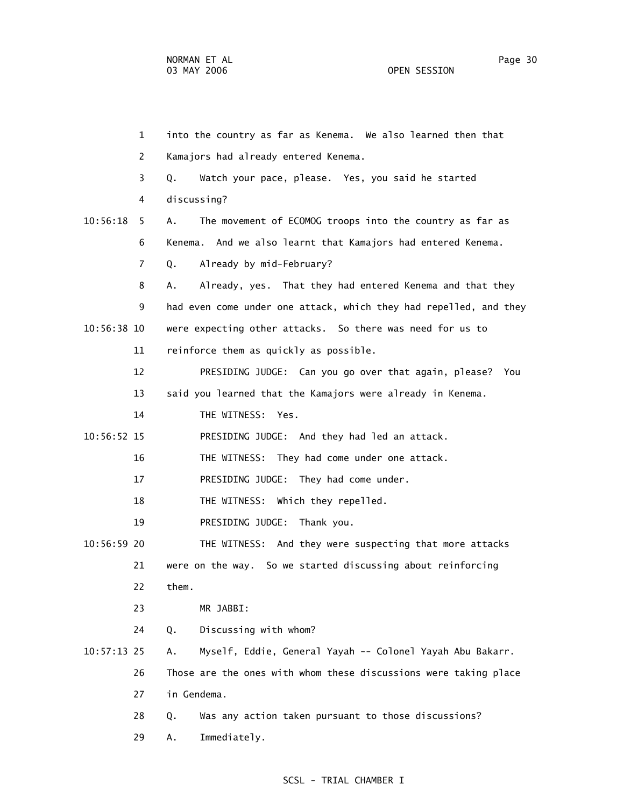|               | $\mathbf{1}$ | into the country as far as Kenema. We also learned then that      |
|---------------|--------------|-------------------------------------------------------------------|
|               | 2            | Kamajors had already entered Kenema.                              |
|               | 3            | Watch your pace, please. Yes, you said he started<br>Q.           |
|               | 4            | discussing?                                                       |
| 10:56:18      | 5.           | The movement of ECOMOG troops into the country as far as<br>А.    |
|               | 6            | Kenema. And we also learnt that Kamajors had entered Kenema.      |
|               | 7            | Already by mid-February?<br>Q.                                    |
|               | 8            | Already, yes. That they had entered Kenema and that they<br>Α.    |
|               | 9            | had even come under one attack, which they had repelled, and they |
| 10:56:38 10   |              | were expecting other attacks. So there was need for us to         |
|               | 11           | reinforce them as quickly as possible.                            |
|               | 12           | PRESIDING JUDGE: Can you go over that again, please? You          |
|               | 13           | said you learned that the Kamajors were already in Kenema.        |
|               | 14           | THE WITNESS: Yes.                                                 |
| 10:56:52 15   |              | PRESIDING JUDGE: And they had led an attack.                      |
|               | 16           | THE WITNESS: They had come under one attack.                      |
|               | 17           | PRESIDING JUDGE: They had come under.                             |
|               | 18           | THE WITNESS: Which they repelled.                                 |
|               | 19           | PRESIDING JUDGE: Thank you.                                       |
| 10:56:59 20   |              | THE WITNESS: And they were suspecting that more attacks           |
|               | 21           | were on the way. So we started discussing about reinforcing       |
|               | 22           | them.                                                             |
|               | 23           | MR JABBI:                                                         |
|               | 24           | Discussing with whom?<br>Q.                                       |
| $10:57:13$ 25 |              | Myself, Eddie, General Yayah -- Colonel Yayah Abu Bakarr.<br>Α.   |
|               | 26           | Those are the ones with whom these discussions were taking place  |
|               | 27           | in Gendema.                                                       |
|               | 28           | Was any action taken pursuant to those discussions?<br>Q.         |
|               | 29           | Immediately.<br>Α.                                                |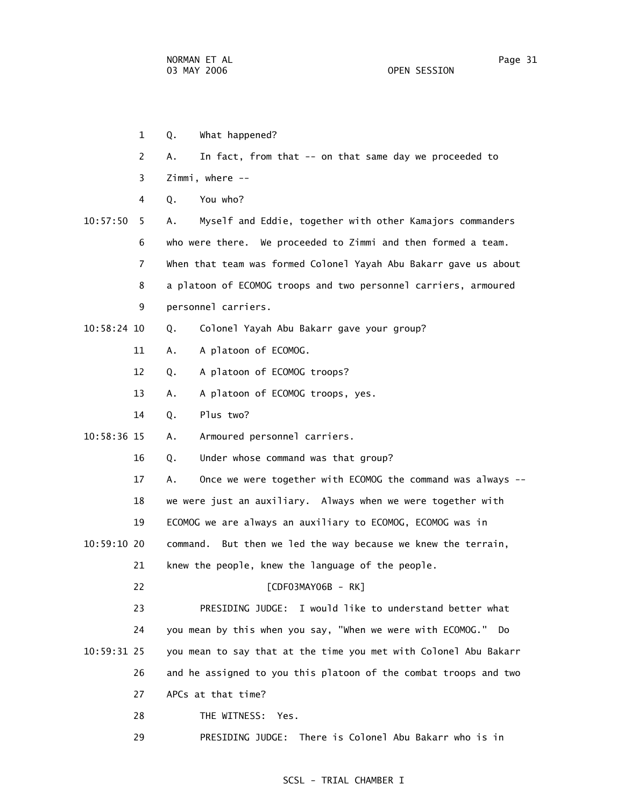- 1 Q. What happened?
- 2 A. In fact, from that -- on that same day we proceeded to
- 3 Zimmi, where --
- 4 Q. You who?
- 10:57:50 5 A. Myself and Eddie, together with other Kamajors commanders 6 who were there. We proceeded to Zimmi and then formed a team. 7 When that team was formed Colonel Yayah Abu Bakarr gave us about 8 a platoon of ECOMOG troops and two personnel carriers, armoured 9 personnel carriers.
- 10:58:24 10 Q. Colonel Yayah Abu Bakarr gave your group?
	- 11 A. A platoon of ECOMOG.
	- 12 Q. A platoon of ECOMOG troops?
	- 13 A. A platoon of ECOMOG troops, yes.
	- 14 Q. Plus two?
- 10:58:36 15 A. Armoured personnel carriers.
	- 16 Q. Under whose command was that group?
	- 17 A. Once we were together with ECOMOG the command was always --
	- 18 we were just an auxiliary. Always when we were together with
	- 19 ECOMOG we are always an auxiliary to ECOMOG, ECOMOG was in
- 10:59:10 20 command. But then we led the way because we knew the terrain,
	- 21 knew the people, knew the language of the people.
		- 22 **[CDF03MAY06B RK]**

 23 PRESIDING JUDGE: I would like to understand better what 24 you mean by this when you say, "When we were with ECOMOG." Do 10:59:31 25 you mean to say that at the time you met with Colonel Abu Bakarr 26 and he assigned to you this platoon of the combat troops and two 27 APCs at that time?

- 28 THE WITNESS: Yes.
- 29 PRESIDING JUDGE: There is Colonel Abu Bakarr who is in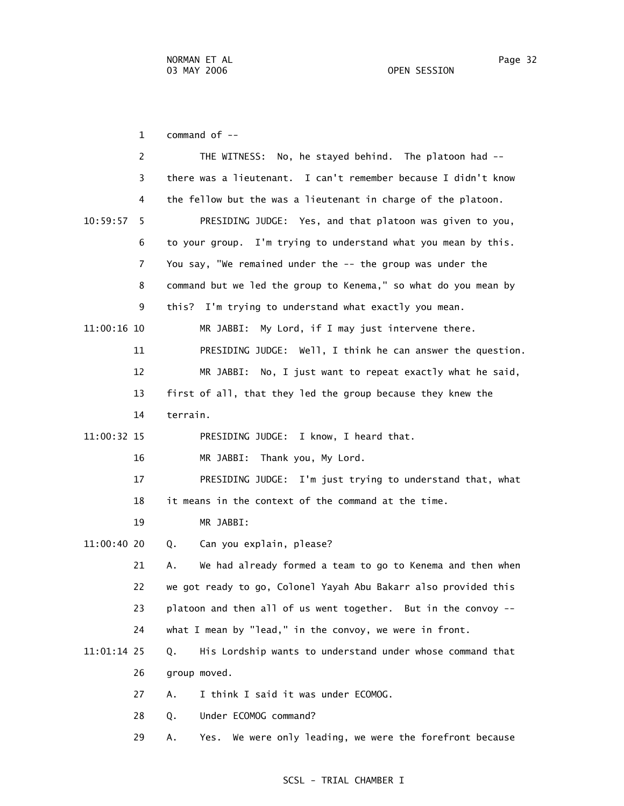03 MAY 2006 OPEN SESSION

1 command of --

|             | 2              | No, he stayed behind. The platoon had --<br>THE WITNESS:         |
|-------------|----------------|------------------------------------------------------------------|
|             | 3              | there was a lieutenant. I can't remember because I didn't know   |
|             | 4              | the fellow but the was a lieutenant in charge of the platoon.    |
| 10:59:57    | 5.             | PRESIDING JUDGE: Yes, and that platoon was given to you,         |
|             | 6              | to your group. I'm trying to understand what you mean by this.   |
|             | $\overline{7}$ | You say, "We remained under the -- the group was under the       |
|             | 8              | command but we led the group to Kenema," so what do you mean by  |
|             | 9              | this? I'm trying to understand what exactly you mean.            |
| 11:00:16 10 |                | My Lord, if I may just intervene there.<br>MR JABBI:             |
|             | 11             | PRESIDING JUDGE: Well, I think he can answer the question.       |
|             | 12             | MR JABBI: No, I just want to repeat exactly what he said,        |
|             | 13             | first of all, that they led the group because they knew the      |
|             | 14             | terrain.                                                         |
| 11:00:32 15 |                | PRESIDING JUDGE: I know, I heard that.                           |
|             | 16             | Thank you, My Lord.<br>MR JABBI:                                 |
|             | 17             | PRESIDING JUDGE: I'm just trying to understand that, what        |
|             | 18             | it means in the context of the command at the time.              |
|             | 19             | MR JABBI:                                                        |
| 11:00:40 20 |                | Can you explain, please?<br>Q.                                   |
|             | 21             | We had already formed a team to go to Kenema and then when<br>А. |
|             | 22             | we got ready to go, Colonel Yayah Abu Bakarr also provided this  |
|             | 23             | platoon and then all of us went together. But in the convoy --   |
|             | 24             | what I mean by "lead," in the convoy, we were in front.          |
| 11:01:14 25 |                | His Lordship wants to understand under whose command that<br>Q.  |
|             | 26             | group moved.                                                     |
|             | 27             | I think I said it was under ECOMOG.<br>А.                        |
|             | 28             | Under ECOMOG command?<br>Q.                                      |

29 A. Yes. We were only leading, we were the forefront because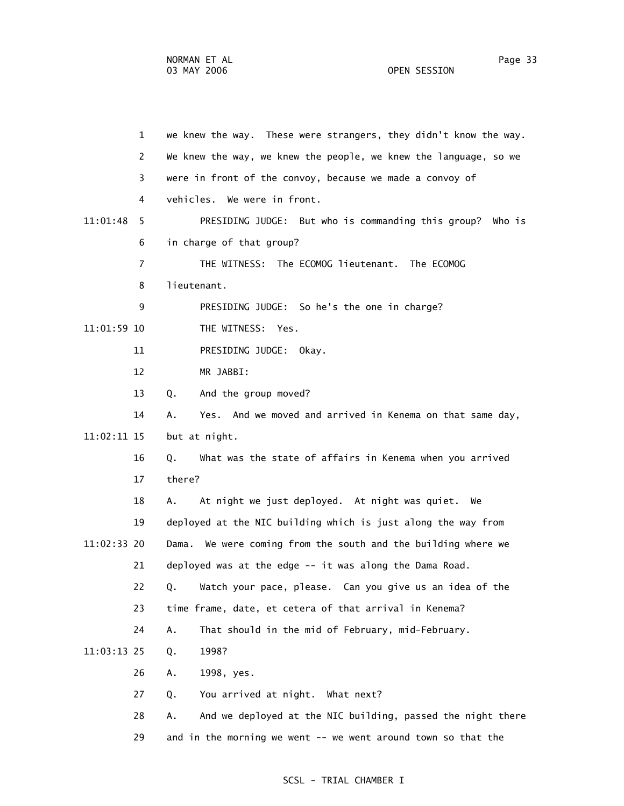1 we knew the way. These were strangers, they didn't know the way. 2 We knew the way, we knew the people, we knew the language, so we 3 were in front of the convoy, because we made a convoy of 4 vehicles. We were in front. 11:01:48 5 PRESIDING JUDGE: But who is commanding this group? Who is 6 in charge of that group? 7 THE WITNESS: The ECOMOG lieutenant. The ECOMOG 8 lieutenant. 9 PRESIDING JUDGE: So he's the one in charge? 11:01:59 10 THE WITNESS: Yes. 11 PRESIDING JUDGE: Okay. 12 MR JABBI: 13 Q. And the group moved? 14 A. Yes. And we moved and arrived in Kenema on that same day, 11:02:11 15 but at night. 16 Q. What was the state of affairs in Kenema when you arrived 17 there? 18 A. At night we just deployed. At night was quiet. We 19 deployed at the NIC building which is just along the way from 11:02:33 20 Dama. We were coming from the south and the building where we 21 deployed was at the edge -- it was along the Dama Road. 22 Q. Watch your pace, please. Can you give us an idea of the 23 time frame, date, et cetera of that arrival in Kenema? 24 A. That should in the mid of February, mid-February. 11:03:13 25 Q. 1998? 26 A. 1998, yes. 27 Q. You arrived at night. What next? 28 A. And we deployed at the NIC building, passed the night there 29 and in the morning we went -- we went around town so that the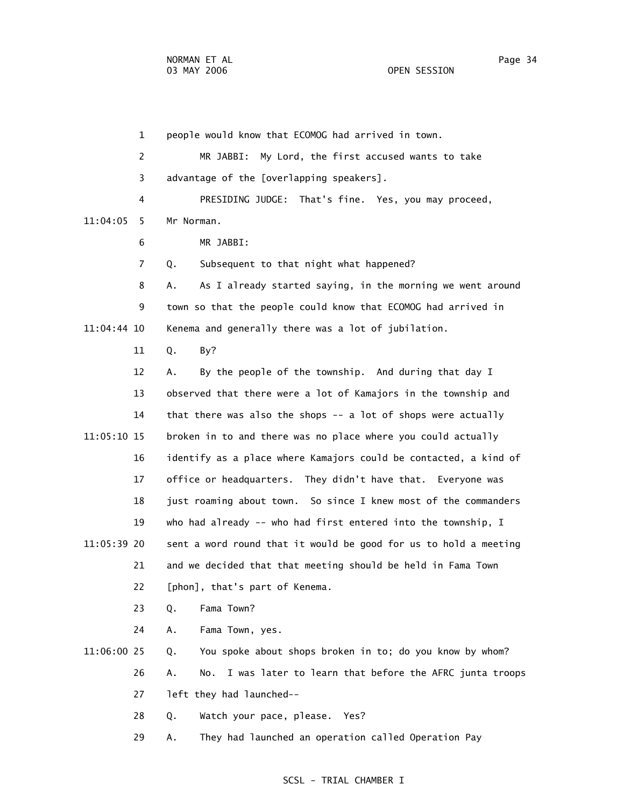1 people would know that ECOMOG had arrived in town. 2 MR JABBI: My Lord, the first accused wants to take 3 advantage of the [overlapping speakers]. 4 PRESIDING JUDGE: That's fine. Yes, you may proceed, 11:04:05 5 Mr Norman. 6 MR JABBI: 7 Q. Subsequent to that night what happened? 8 A. As I already started saying, in the morning we went around 9 town so that the people could know that ECOMOG had arrived in 11:04:44 10 Kenema and generally there was a lot of jubilation. 11 Q. By? 12 A. By the people of the township. And during that day I 13 observed that there were a lot of Kamajors in the township and 14 that there was also the shops -- a lot of shops were actually 11:05:10 15 broken in to and there was no place where you could actually 16 identify as a place where Kamajors could be contacted, a kind of 17 office or headquarters. They didn't have that. Everyone was 18 just roaming about town. So since I knew most of the commanders 19 who had already -- who had first entered into the township, I 11:05:39 20 sent a word round that it would be good for us to hold a meeting 21 and we decided that that meeting should be held in Fama Town 22 [phon], that's part of Kenema. 23 Q. Fama Town? 24 A. Fama Town, yes. 11:06:00 25 Q. You spoke about shops broken in to; do you know by whom? 26 A. No. I was later to learn that before the AFRC junta troops 27 left they had launched-- 28 Q. Watch your pace, please. Yes? 29 A. They had launched an operation called Operation Pay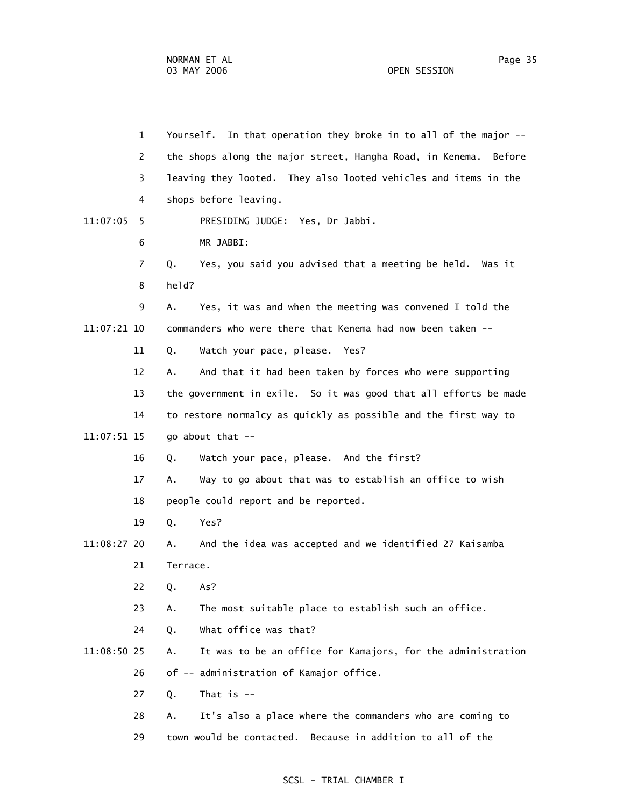1 Yourself. In that operation they broke in to all of the major -- 2 the shops along the major street, Hangha Road, in Kenema. Before 3 leaving they looted. They also looted vehicles and items in the 4 shops before leaving. 11:07:05 5 PRESIDING JUDGE: Yes, Dr Jabbi. 6 MR JABBI: 7 Q. Yes, you said you advised that a meeting be held. Was it 8 held? 9 A. Yes, it was and when the meeting was convened I told the 11:07:21 10 commanders who were there that Kenema had now been taken -- 11 Q. Watch your pace, please. Yes? 12 A. And that it had been taken by forces who were supporting 13 the government in exile. So it was good that all efforts be made 14 to restore normalcy as quickly as possible and the first way to 11:07:51 15 go about that -- 16 Q. Watch your pace, please. And the first? 17 A. Way to go about that was to establish an office to wish 18 people could report and be reported. 19 Q. Yes? 11:08:27 20 A. And the idea was accepted and we identified 27 Kaisamba 21 Terrace. 22 Q. As? 23 A. The most suitable place to establish such an office. 24 Q. What office was that? 11:08:50 25 A. It was to be an office for Kamajors, for the administration 26 of -- administration of Kamajor office. 27 Q. That is -- 28 A. It's also a place where the commanders who are coming to 29 town would be contacted. Because in addition to all of the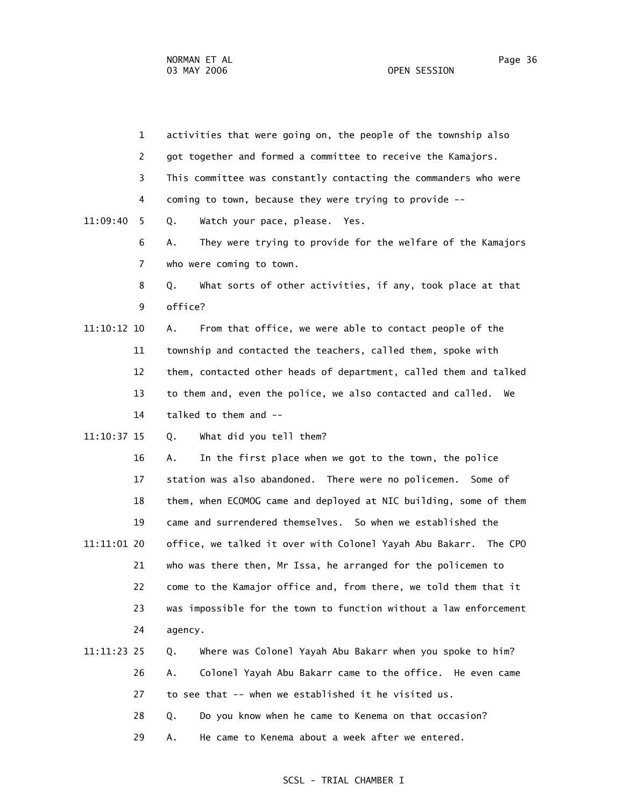1 activities that were going on, the people of the township also 2 got together and formed a committee to receive the Kamajors. 3 This committee was constantly contacting the commanders who were 4 coming to town, because they were trying to provide -- 11:09:40 5 Q. Watch your pace, please. Yes. 6 A. They were trying to provide for the welfare of the Kamajors 7 who were coming to town. 8 Q. What sorts of other activities, if any, took place at that 9 office? 11:10:12 10 A. From that office, we were able to contact people of the 11 township and contacted the teachers, called them, spoke with 12 them, contacted other heads of department, called them and talked 13 to them and, even the police, we also contacted and called. We 14 talked to them and -- 11:10:37 15 Q. What did you tell them? 16 A. In the first place when we got to the town, the police 17 station was also abandoned. There were no policemen. Some of 18 them, when ECOMOG came and deployed at NIC building, some of them 19 came and surrendered themselves. So when we established the 11:11:01 20 office, we talked it over with Colonel Yayah Abu Bakarr. The CPO 21 who was there then, Mr Issa, he arranged for the policemen to 22 come to the Kamajor office and, from there, we told them that it 23 was impossible for the town to function without a law enforcement 24 agency.

# 11:11:23 25 Q. Where was Colonel Yayah Abu Bakarr when you spoke to him? 26 A. Colonel Yayah Abu Bakarr came to the office. He even came 27 to see that -- when we established it he visited us. 28 Q. Do you know when he came to Kenema on that occasion?

29 A. He came to Kenema about a week after we entered.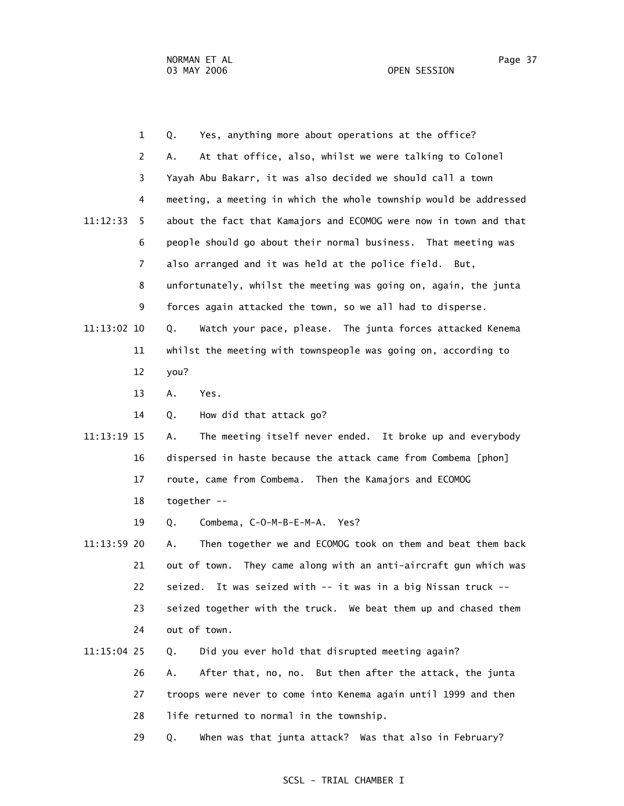|             | $\mathbf{1}$   | Q.<br>Yes, anything more about operations at the office?          |
|-------------|----------------|-------------------------------------------------------------------|
|             | $\overline{2}$ | At that office, also, whilst we were talking to Colonel<br>Α.     |
|             | 3              | Yayah Abu Bakarr, it was also decided we should call a town       |
|             | 4              | meeting, a meeting in which the whole township would be addressed |
| 11:12:33    | 5              | about the fact that Kamajors and ECOMOG were now in town and that |
|             | 6              | people should go about their normal business. That meeting was    |
|             | $\overline{7}$ | also arranged and it was held at the police field. But,           |
|             | 8              | unfortunately, whilst the meeting was going on, again, the junta  |
|             | 9              | forces again attacked the town, so we all had to disperse.        |
| 11:13:02 10 |                | Q.<br>Watch your pace, please. The junta forces attacked Kenema   |
|             | 11             | whilst the meeting with townspeople was going on, according to    |
|             | 12             | you?                                                              |
|             | 13             | Yes.<br>Α.                                                        |
|             | 14             | How did that attack go?<br>Q.                                     |
| 11:13:19 15 |                | The meeting itself never ended. It broke up and everybody<br>Α.   |
|             | 16             | dispersed in haste because the attack came from Combema [phon]    |
|             | 17             | route, came from Combema. Then the Kamajors and ECOMOG            |
|             | 18             | together --                                                       |
|             | 19             | Combema, C-O-M-B-E-M-A. Yes?<br>Q.                                |
| 11:13:59 20 |                | Then together we and ECOMOG took on them and beat them back<br>Α. |
|             | 21             | out of town. They came along with an anti-aircraft gun which was  |
|             | 22             | seized. It was seized with -- it was in a big Nissan truck --     |
|             | 23             | seized together with the truck. We beat them up and chased them   |
|             | 24             | out of town.                                                      |
| 11:15:04 25 |                | Did you ever hold that disrupted meeting again?<br>Q.             |
|             |                |                                                                   |

 26 A. After that, no, no. But then after the attack, the junta 27 troops were never to come into Kenema again until 1999 and then 28 life returned to normal in the township.

29 Q. When was that junta attack? Was that also in February?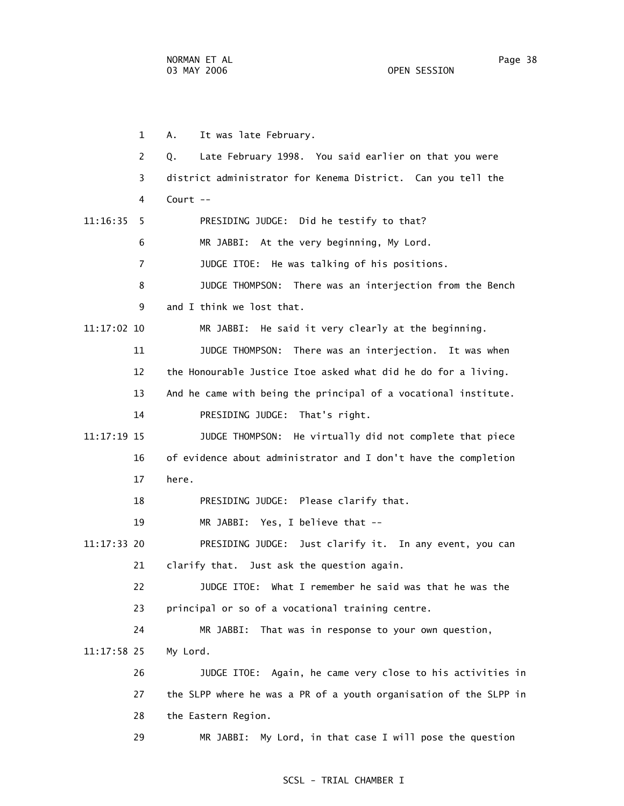1 A. It was late February. 2 Q. Late February 1998. You said earlier on that you were 3 district administrator for Kenema District. Can you tell the 4 Court -- 11:16:35 5 PRESIDING JUDGE: Did he testify to that? 6 MR JABBI: At the very beginning, My Lord. 7 JUDGE ITOE: He was talking of his positions. 8 JUDGE THOMPSON: There was an interjection from the Bench 9 and I think we lost that. 11:17:02 10 MR JABBI: He said it very clearly at the beginning. 11 JUDGE THOMPSON: There was an interjection. It was when 12 the Honourable Justice Itoe asked what did he do for a living. 13 And he came with being the principal of a vocational institute. 14 PRESIDING JUDGE: That's right. 11:17:19 15 JUDGE THOMPSON: He virtually did not complete that piece 16 of evidence about administrator and I don't have the completion 17 here. 18 PRESIDING JUDGE: Please clarify that. 19 MR JABBI: Yes, I believe that -- 11:17:33 20 PRESIDING JUDGE: Just clarify it. In any event, you can 21 clarify that. Just ask the question again. 22 JUDGE ITOE: What I remember he said was that he was the 23 principal or so of a vocational training centre. 24 MR JABBI: That was in response to your own question, 11:17:58 25 My Lord. 26 JUDGE ITOE: Again, he came very close to his activities in 27 the SLPP where he was a PR of a youth organisation of the SLPP in 28 the Eastern Region. 29 MR JABBI: My Lord, in that case I will pose the question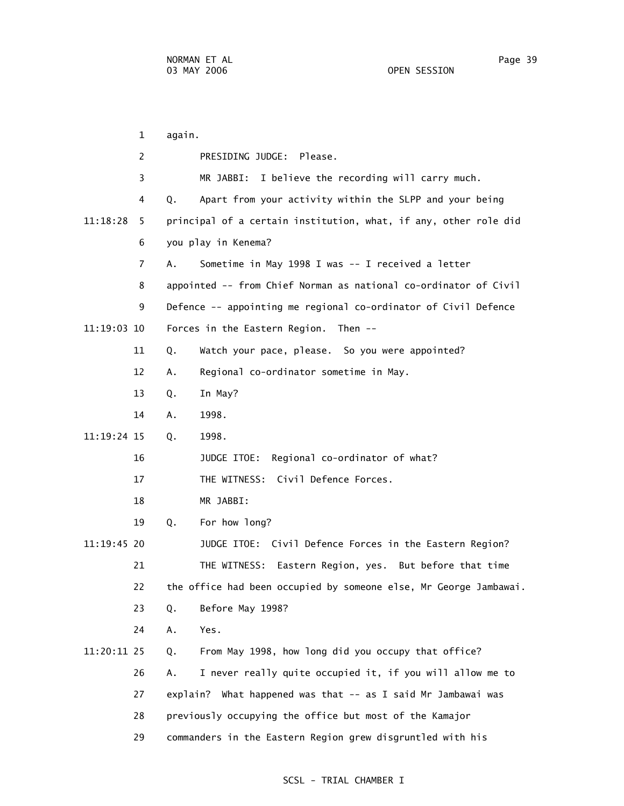1 again. 2 PRESIDING JUDGE: Please. 3 MR JABBI: I believe the recording will carry much. 4 Q. Apart from your activity within the SLPP and your being 11:18:28 5 principal of a certain institution, what, if any, other role did 6 you play in Kenema? 7 A. Sometime in May 1998 I was -- I received a letter 8 appointed -- from Chief Norman as national co-ordinator of Civil 9 Defence -- appointing me regional co-ordinator of Civil Defence 11:19:03 10 Forces in the Eastern Region. Then -- 11 Q. Watch your pace, please. So you were appointed? 12 A. Regional co-ordinator sometime in May. 13 Q. In May? 14 A. 1998. 11:19:24 15 Q. 1998. 16 JUDGE ITOE: Regional co-ordinator of what? 17 THE WITNESS: Civil Defence Forces. 18 MR JABBI: 19 Q. For how long? 11:19:45 20 JUDGE ITOE: Civil Defence Forces in the Eastern Region? 21 THE WITNESS: Eastern Region, yes. But before that time 22 the office had been occupied by someone else, Mr George Jambawai. 23 Q. Before May 1998? 24 A. Yes. 11:20:11 25 Q. From May 1998, how long did you occupy that office? 26 A. I never really quite occupied it, if you will allow me to 27 explain? What happened was that -- as I said Mr Jambawai was 28 previously occupying the office but most of the Kamajor 29 commanders in the Eastern Region grew disgruntled with his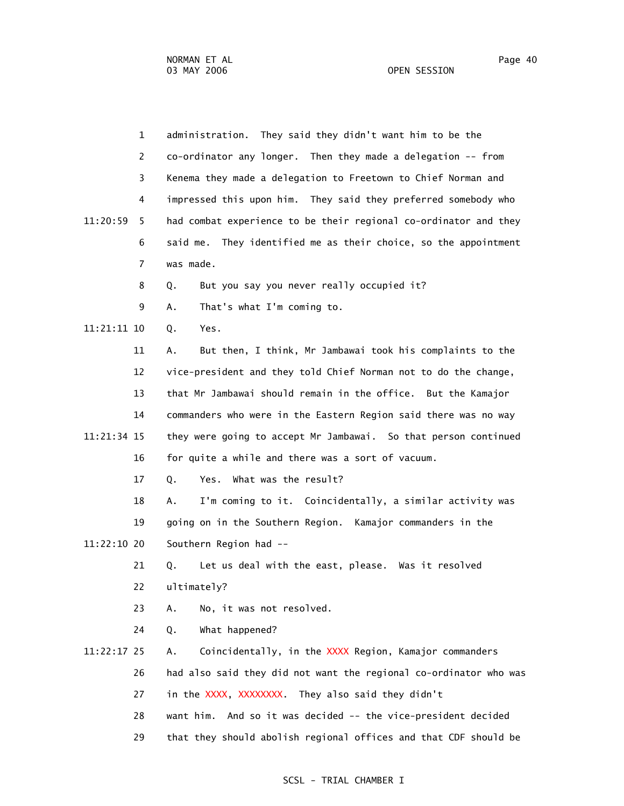OPEN SESSION

|             | $\mathbf{1}$   | administration. They said they didn't want him to be the          |
|-------------|----------------|-------------------------------------------------------------------|
|             | 2              | co-ordinator any longer. Then they made a delegation -- from      |
|             | 3              | Kenema they made a delegation to Freetown to Chief Norman and     |
|             | 4              | impressed this upon him. They said they preferred somebody who    |
| 11:20:59    | 5.             | had combat experience to be their regional co-ordinator and they  |
|             | 6              | said me. They identified me as their choice, so the appointment   |
|             | $\overline{7}$ | was made.                                                         |
|             | 8              | But you say you never really occupied it?<br>Q.                   |
|             | 9              | That's what I'm coming to.<br>Α.                                  |
| 11:21:11 10 |                | Yes.<br>Q.                                                        |
|             | 11             | But then, I think, Mr Jambawai took his complaints to the<br>Α.   |
|             | 12             | vice-president and they told Chief Norman not to do the change,   |
|             | 13             | that Mr Jambawai should remain in the office. But the Kamajor     |
|             | 14             | commanders who were in the Eastern Region said there was no way   |
| 11:21:34 15 |                | they were going to accept Mr Jambawai. So that person continued   |
|             | 16             | for quite a while and there was a sort of vacuum.                 |
|             | 17             | Yes. What was the result?<br>Q.                                   |
|             | 18             | I'm coming to it. Coincidentally, a similar activity was<br>Α.    |
|             | 19             | going on in the Southern Region. Kamajor commanders in the        |
| 11:22:10 20 |                | Southern Region had --                                            |
|             | 21             | Let us deal with the east, please. Was it resolved<br>Q.          |
|             | 22             | ultimately?                                                       |
|             | 23             | No, it was not resolved.<br>Α.                                    |
|             | 24             | What happened?<br>Q.                                              |
| 11:22:17 25 |                | Coincidentally, in the XXXX Region, Kamajor commanders<br>Α.      |
|             | 26             | had also said they did not want the regional co-ordinator who was |
|             | 27             | in the XXXX, XXXXXXXX. They also said they didn't                 |
|             | 28             | And so it was decided -- the vice-president decided<br>want him.  |
|             | 29             | that they should abolish regional offices and that CDF should be  |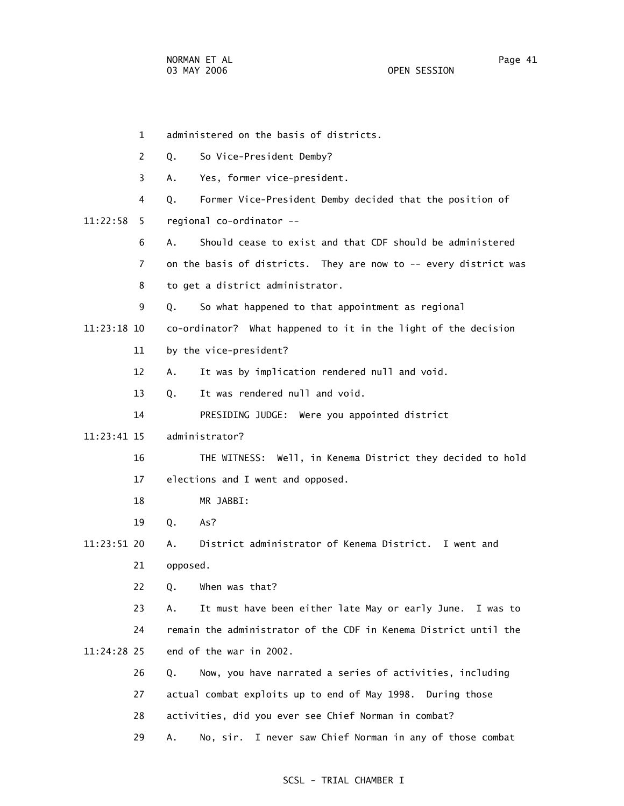1 administered on the basis of districts. 2 Q. So Vice-President Demby? 3 A. Yes, former vice-president. 4 Q. Former Vice-President Demby decided that the position of 11:22:58 5 regional co-ordinator -- 6 A. Should cease to exist and that CDF should be administered 7 on the basis of districts. They are now to -- every district was 8 to get a district administrator. 9 Q. So what happened to that appointment as regional 11:23:18 10 co-ordinator? What happened to it in the light of the decision 11 by the vice-president? 12 A. It was by implication rendered null and void. 13 Q. It was rendered null and void. 14 PRESIDING JUDGE: Were you appointed district 11:23:41 15 administrator? 16 THE WITNESS: Well, in Kenema District they decided to hold 17 elections and I went and opposed. 18 MR JABBI: 19 Q. As? 11:23:51 20 A. District administrator of Kenema District. I went and 21 opposed. 22 Q. When was that? 23 A. It must have been either late May or early June. I was to 24 remain the administrator of the CDF in Kenema District until the 11:24:28 25 end of the war in 2002. 26 Q. Now, you have narrated a series of activities, including 27 actual combat exploits up to end of May 1998. During those 28 activities, did you ever see Chief Norman in combat? 29 A. No, sir. I never saw Chief Norman in any of those combat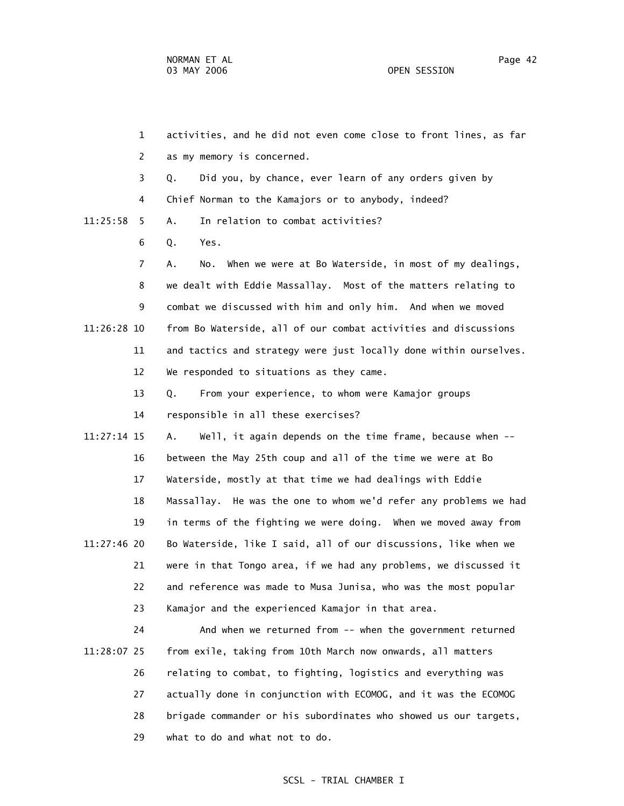1 activities, and he did not even come close to front lines, as far 2 as my memory is concerned. 3 Q. Did you, by chance, ever learn of any orders given by 4 Chief Norman to the Kamajors or to anybody, indeed? 11:25:58 5 A. In relation to combat activities? 6 Q. Yes. 7 A. No. When we were at Bo Waterside, in most of my dealings, 8 we dealt with Eddie Massallay. Most of the matters relating to 9 combat we discussed with him and only him. And when we moved 11:26:28 10 from Bo Waterside, all of our combat activities and discussions 11 and tactics and strategy were just locally done within ourselves. 12 We responded to situations as they came. 13 Q. From your experience, to whom were Kamajor groups 14 responsible in all these exercises? 11:27:14 15 A. Well, it again depends on the time frame, because when -- 16 between the May 25th coup and all of the time we were at Bo 17 Waterside, mostly at that time we had dealings with Eddie 18 Massallay. He was the one to whom we'd refer any problems we had 19 in terms of the fighting we were doing. When we moved away from 11:27:46 20 Bo Waterside, like I said, all of our discussions, like when we 21 were in that Tongo area, if we had any problems, we discussed it 22 and reference was made to Musa Junisa, who was the most popular 23 Kamajor and the experienced Kamajor in that area. 24 And when we returned from -- when the government returned 11:28:07 25 from exile, taking from 10th March now onwards, all matters 26 relating to combat, to fighting, logistics and everything was 27 actually done in conjunction with ECOMOG, and it was the ECOMOG 28 brigade commander or his subordinates who showed us our targets,

29 what to do and what not to do.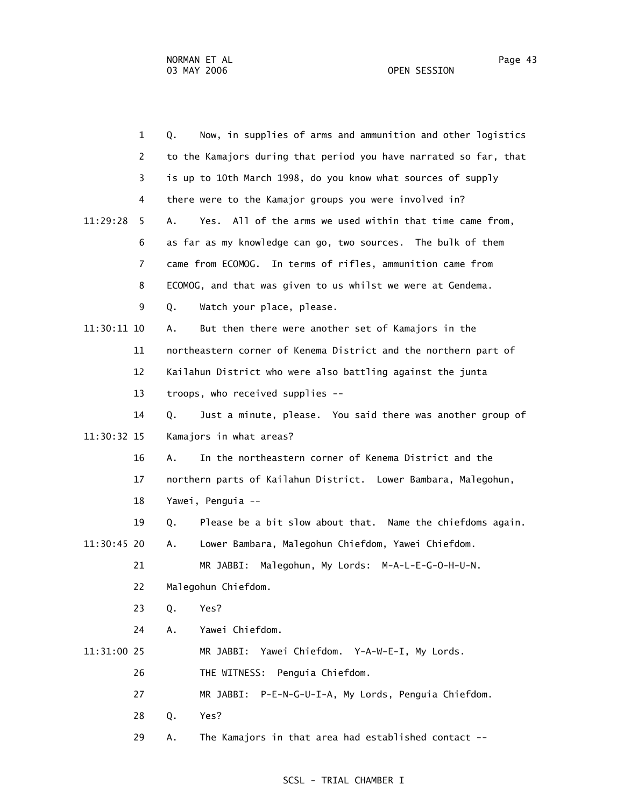|             | $\mathbf{1}$   | Q. | Now, in supplies of arms and ammunition and other logistics       |
|-------------|----------------|----|-------------------------------------------------------------------|
|             | 2              |    | to the Kamajors during that period you have narrated so far, that |
|             | 3              |    | is up to 10th March 1998, do you know what sources of supply      |
|             | 4              |    | there were to the Kamajor groups you were involved in?            |
| 11:29:28    | 5              | A. | All of the arms we used within that time came from,<br>Yes.       |
|             | 6              |    | as far as my knowledge can go, two sources. The bulk of them      |
|             | $\overline{7}$ |    | came from ECOMOG. In terms of rifles, ammunition came from        |
|             | 8              |    | ECOMOG, and that was given to us whilst we were at Gendema.       |
|             | 9              | Q. | Watch your place, please.                                         |
| 11:30:11 10 |                | Α. | But then there were another set of Kamajors in the                |
|             | 11             |    | northeastern corner of Kenema District and the northern part of   |
|             | 12             |    | Kailahun District who were also battling against the junta        |
|             | 13             |    | troops, who received supplies --                                  |
|             | 14             | Q. | Just a minute, please. You said there was another group of        |
| 11:30:32 15 |                |    | Kamajors in what areas?                                           |
|             | 16             | Α. | In the northeastern corner of Kenema District and the             |
|             | 17             |    | northern parts of Kailahun District. Lower Bambara, Malegohun,    |
|             | 18             |    | Yawei, Penguia --                                                 |
|             | 19             | Q. | Please be a bit slow about that. Name the chiefdoms again.        |
| 11:30:45 20 |                | А. | Lower Bambara, Malegohun Chiefdom, Yawei Chiefdom.                |
|             | 21             |    | Malegohun, My Lords: M-A-L-E-G-O-H-U-N.<br>MR JABBI:              |
|             | 22             |    | Malegohun Chiefdom.                                               |
|             | 23             | Q. | Yes?                                                              |
|             | 24             | A. | Yawei Chiefdom.                                                   |
| 11:31:00 25 |                |    | MR JABBI: Yawei Chiefdom. Y-A-W-E-I, My Lords.                    |
|             | 26             |    | THE WITNESS: Penguia Chiefdom.                                    |
|             | 27             |    | MR JABBI: P-E-N-G-U-I-A, My Lords, Penguia Chiefdom.              |
|             | 28             | Q. | Yes?                                                              |
|             |                |    |                                                                   |

# 29 A. The Kamajors in that area had established contact --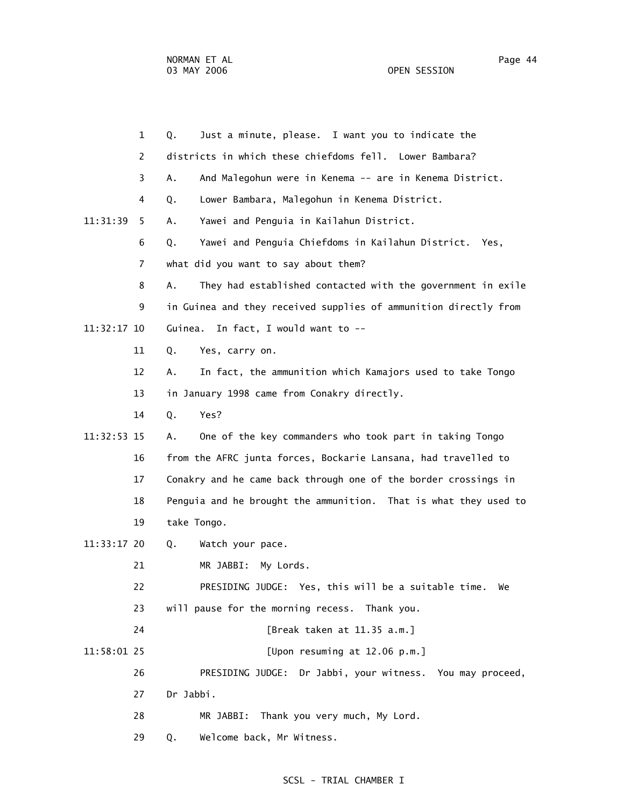| $\mathbf{1}$   | Just a minute, please. I want you to indicate the<br>Q.           |
|----------------|-------------------------------------------------------------------|
| 2              | districts in which these chiefdoms fell. Lower Bambara?           |
| 3              | And Malegohun were in Kenema -- are in Kenema District.<br>Α.     |
| 4              | Lower Bambara, Malegohun in Kenema District.<br>Q.                |
| 11:31:39<br>5  | Yawei and Penguia in Kailahun District.<br>Α.                     |
| 6              | Yawei and Penguia Chiefdoms in Kailahun District. Yes,<br>Q.      |
| $\overline{7}$ | what did you want to say about them?                              |
| 8              | They had established contacted with the government in exile<br>Α. |
| 9              | in Guinea and they received supplies of ammunition directly from  |
| 11:32:17 10    | Guinea. In fact, I would want to --                               |
| 11             | Q.<br>Yes, carry on.                                              |
| 12             | In fact, the ammunition which Kamajors used to take Tongo<br>Α.   |
| 13             | in January 1998 came from Conakry directly.                       |
| 14             | Yes?<br>Q.                                                        |
| 11:32:53 15    | One of the key commanders who took part in taking Tongo<br>Α.     |
| 16             | from the AFRC junta forces, Bockarie Lansana, had travelled to    |
| 17             | Conakry and he came back through one of the border crossings in   |
| 18             | Penguia and he brought the ammunition. That is what they used to  |
| 19             | take Tongo.                                                       |
| 11:33:17 20    | Q.<br>Watch your pace.                                            |
| 21             | MR JABBI:<br>My Lords.                                            |
| 22             | PRESIDING JUDGE: Yes, this will be a suitable time.<br>We         |
| 23             | will pause for the morning recess. Thank you.                     |
| 24             | [Break taken at 11.35 a.m.]                                       |
| 11:58:01 25    | [Upon resuming at 12.06 p.m.]                                     |
| 26             | PRESIDING JUDGE: Dr Jabbi, your witness. You may proceed,         |
| 27             | Dr Jabbi.                                                         |
| 28             | MR JABBI: Thank you very much, My Lord.                           |
| 29             | Welcome back, Mr Witness.<br>Q.                                   |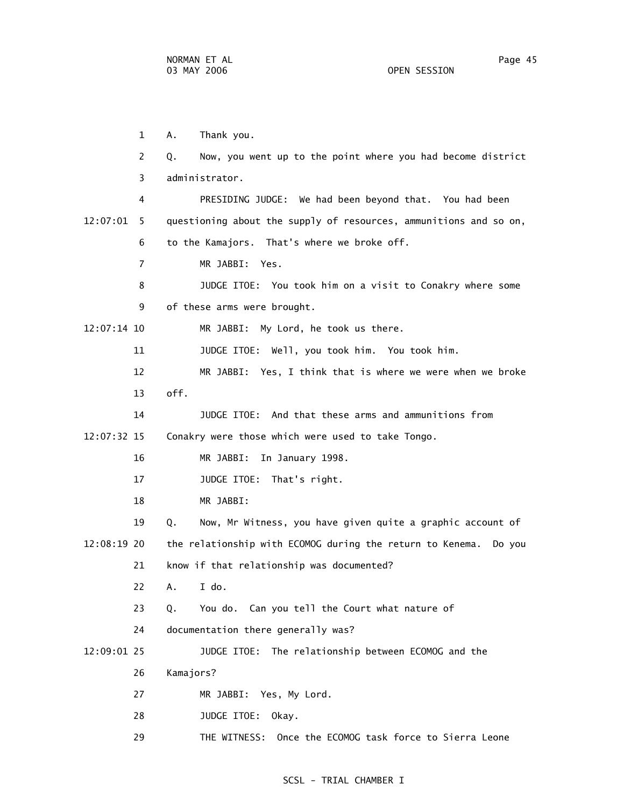1 A. Thank you.

3 administrator.

 2 Q. Now, you went up to the point where you had become district 4 PRESIDING JUDGE: We had been beyond that. You had been 12:07:01 5 questioning about the supply of resources, ammunitions and so on, 6 to the Kamajors. That's where we broke off. 7 MR JABBI: Yes. 8 JUDGE ITOE: You took him on a visit to Conakry where some 9 of these arms were brought. 12:07:14 10 MR JABBI: My Lord, he took us there.

11 JUDGE ITOE: Well, you took him. You took him.

 12 MR JABBI: Yes, I think that is where we were when we broke 13 off.

 14 JUDGE ITOE: And that these arms and ammunitions from 12:07:32 15 Conakry were those which were used to take Tongo.

- 16 MR JABBI: In January 1998.
- 17 JUDGE ITOE: That's right.

18 MR JABBI:

 19 Q. Now, Mr Witness, you have given quite a graphic account of 12:08:19 20 the relationship with ECOMOG during the return to Kenema. Do you 21 know if that relationship was documented?

22 A. I do.

23 Q. You do. Can you tell the Court what nature of

24 documentation there generally was?

12:09:01 25 JUDGE ITOE: The relationship between ECOMOG and the

- 26 Kamajors?
- 27 MR JABBI: Yes, My Lord.
- 28 JUDGE ITOE: Okay.
- 29 THE WITNESS: Once the ECOMOG task force to Sierra Leone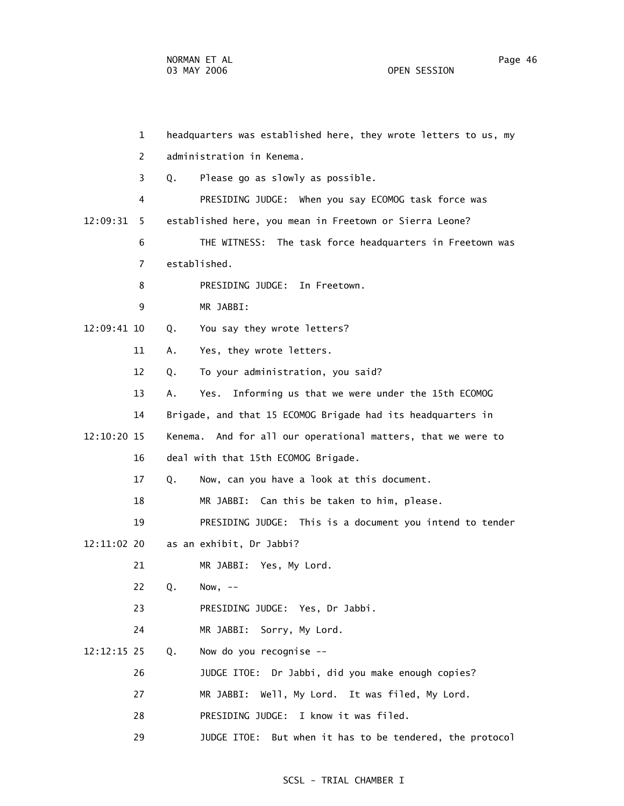1 headquarters was established here, they wrote letters to us, my 2 administration in Kenema. 3 Q. Please go as slowly as possible. 4 PRESIDING JUDGE: When you say ECOMOG task force was 12:09:31 5 established here, you mean in Freetown or Sierra Leone? 6 THE WITNESS: The task force headquarters in Freetown was 7 established. 8 PRESIDING JUDGE: In Freetown. 9 MR JABBI: 12:09:41 10 Q. You say they wrote letters? 11 A. Yes, they wrote letters. 12 Q. To your administration, you said? 13 A. Yes. Informing us that we were under the 15th ECOMOG 14 Brigade, and that 15 ECOMOG Brigade had its headquarters in 12:10:20 15 Kenema. And for all our operational matters, that we were to 16 deal with that 15th ECOMOG Brigade. 17 Q. Now, can you have a look at this document. 18 MR JABBI: Can this be taken to him, please. 19 PRESIDING JUDGE: This is a document you intend to tender 12:11:02 20 as an exhibit, Dr Jabbi? 21 MR JABBI: Yes, My Lord. 22 Q. Now, -- 23 PRESIDING JUDGE: Yes, Dr Jabbi. 24 MR JABBI: Sorry, My Lord. 12:12:15 25 Q. Now do you recognise -- 26 JUDGE ITOE: Dr Jabbi, did you make enough copies? 27 MR JABBI: Well, My Lord. It was filed, My Lord. 28 PRESIDING JUDGE: I know it was filed. 29 JUDGE ITOE: But when it has to be tendered, the protocol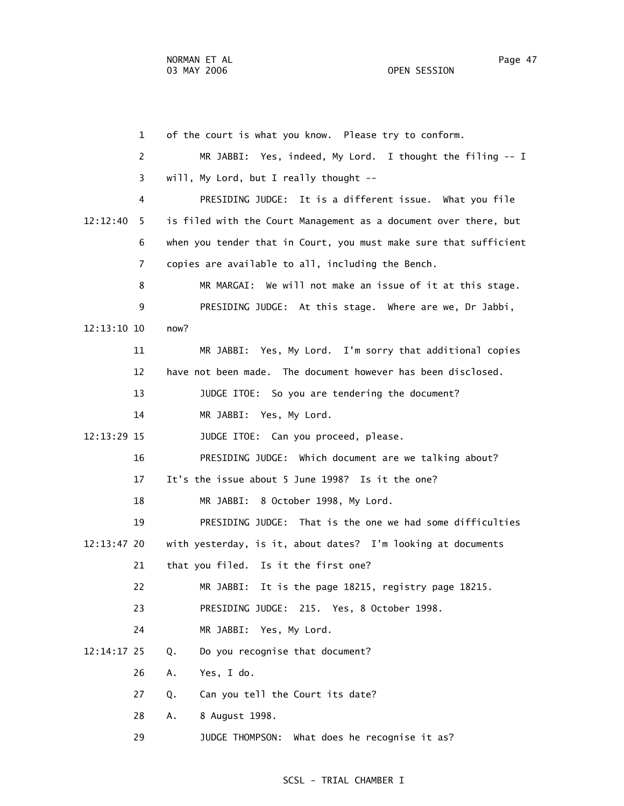1 of the court is what you know. Please try to conform. 2 MR JABBI: Yes, indeed, My Lord. I thought the filing -- I 3 will, My Lord, but I really thought -- 4 PRESIDING JUDGE: It is a different issue. What you file 12:12:40 5 is filed with the Court Management as a document over there, but 6 when you tender that in Court, you must make sure that sufficient 7 copies are available to all, including the Bench. 8 MR MARGAI: We will not make an issue of it at this stage. 9 PRESIDING JUDGE: At this stage. Where are we, Dr Jabbi, 12:13:10 10 now? 11 MR JABBI: Yes, My Lord. I'm sorry that additional copies 12 have not been made. The document however has been disclosed. 13 JUDGE ITOE: So you are tendering the document? 14 MR JABBI: Yes, My Lord. 12:13:29 15 JUDGE ITOE: Can you proceed, please. 16 PRESIDING JUDGE: Which document are we talking about? 17 It's the issue about 5 June 1998? Is it the one? 18 MR JABBI: 8 October 1998, My Lord. 19 PRESIDING JUDGE: That is the one we had some difficulties 12:13:47 20 with yesterday, is it, about dates? I'm looking at documents 21 that you filed. Is it the first one? 22 MR JABBI: It is the page 18215, registry page 18215. 23 PRESIDING JUDGE: 215. Yes, 8 October 1998. 24 MR JABBI: Yes, My Lord. 12:14:17 25 Q. Do you recognise that document? 26 A. Yes, I do. 27 Q. Can you tell the Court its date? 28 A. 8 August 1998. 29 JUDGE THOMPSON: What does he recognise it as?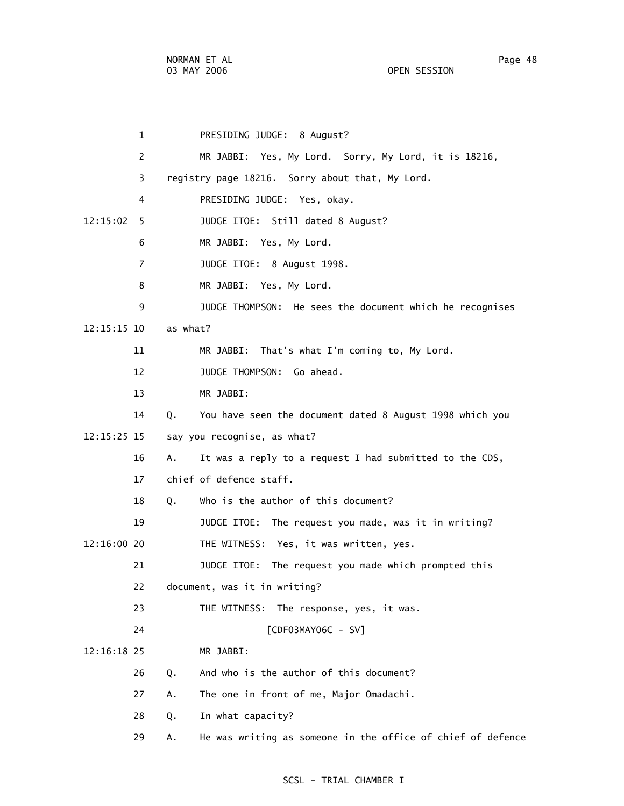| $\mathbf 1$    |          | PRESIDING JUDGE: 8 August?                                  |
|----------------|----------|-------------------------------------------------------------|
| 2              |          | MR JABBI: Yes, My Lord. Sorry, My Lord, it is 18216,        |
| 3              |          | registry page 18216. Sorry about that, My Lord.             |
| 4              |          | PRESIDING JUDGE: Yes, okay.                                 |
| 12:15:02<br>5. |          | JUDGE ITOE: Still dated 8 August?                           |
| 6              |          | MR JABBI: Yes, My Lord.                                     |
| $\overline{7}$ |          | JUDGE ITOE: 8 August 1998.                                  |
| 8              |          | MR JABBI: Yes, My Lord.                                     |
| 9              |          | JUDGE THOMPSON: He sees the document which he recognises    |
| $12:15:15$ 10  | as what? |                                                             |
| 11             |          | MR JABBI: That's what I'm coming to, My Lord.               |
| 12             |          | JUDGE THOMPSON: Go ahead.                                   |
| 13             |          | MR JABBI:                                                   |
| 14             | Q.       | You have seen the document dated 8 August 1998 which you    |
| 12:15:25 15    |          | say you recognise, as what?                                 |
| 16             | Α.       | It was a reply to a request I had submitted to the CDS,     |
| 17             |          | chief of defence staff.                                     |
| 18             | Q.       | Who is the author of this document?                         |
| 19             |          | JUDGE ITOE: The request you made, was it in writing?        |
| $12:16:00$ 20  |          | THE WITNESS: Yes, it was written, yes.                      |
| 21             |          | JUDGE ITOE: The request you made which prompted this        |
| 22             |          | document, was it in writing?                                |
| 23             |          | THE WITNESS: The response, yes, it was.                     |
| 24             |          | [CDF03MAY06C - SV]                                          |
| $12:16:18$ 25  |          | MR JABBI:                                                   |
| 26             | Q.       | And who is the author of this document?                     |
| 27             | А.       | The one in front of me, Major Omadachi.                     |
| 28             | Q.       | In what capacity?                                           |
| 29             | Α.       | He was writing as someone in the office of chief of defence |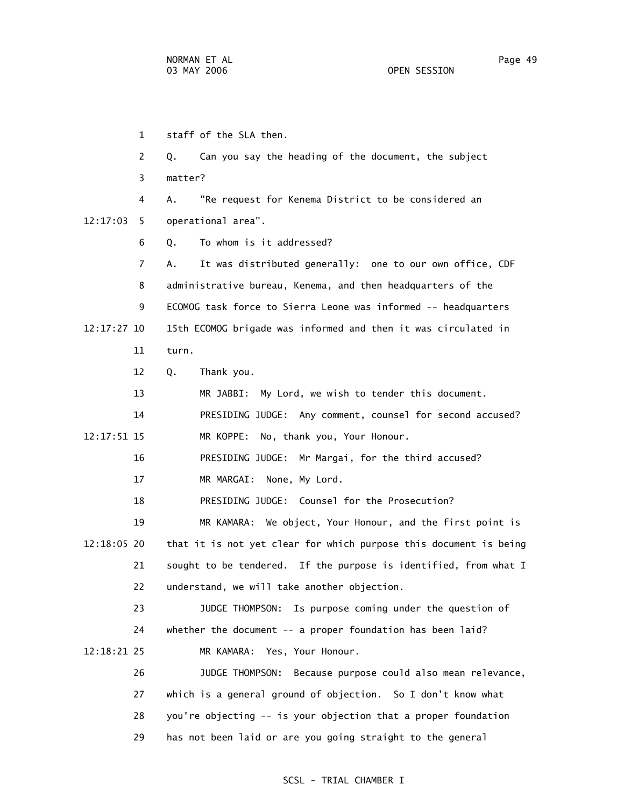1 staff of the SLA then. 2 Q. Can you say the heading of the document, the subject 3 matter? 4 A. "Re request for Kenema District to be considered an 12:17:03 5 operational area". 6 Q. To whom is it addressed? 7 A. It was distributed generally: one to our own office, CDF 8 administrative bureau, Kenema, and then headquarters of the 9 ECOMOG task force to Sierra Leone was informed -- headquarters 12:17:27 10 15th ECOMOG brigade was informed and then it was circulated in 11 turn. 12 Q. Thank you. 13 MR JABBI: My Lord, we wish to tender this document. 14 PRESIDING JUDGE: Any comment, counsel for second accused? 12:17:51 15 MR KOPPE: No, thank you, Your Honour. 16 PRESIDING JUDGE: Mr Margai, for the third accused? 17 MR MARGAI: None, My Lord. 18 PRESIDING JUDGE: Counsel for the Prosecution? 19 MR KAMARA: We object, Your Honour, and the first point is 12:18:05 20 that it is not yet clear for which purpose this document is being 21 sought to be tendered. If the purpose is identified, from what I 22 understand, we will take another objection. 23 JUDGE THOMPSON: Is purpose coming under the question of 24 whether the document -- a proper foundation has been laid? 12:18:21 25 MR KAMARA: Yes, Your Honour. 26 JUDGE THOMPSON: Because purpose could also mean relevance, 27 which is a general ground of objection. So I don't know what 28 you're objecting -- is your objection that a proper foundation

29 has not been laid or are you going straight to the general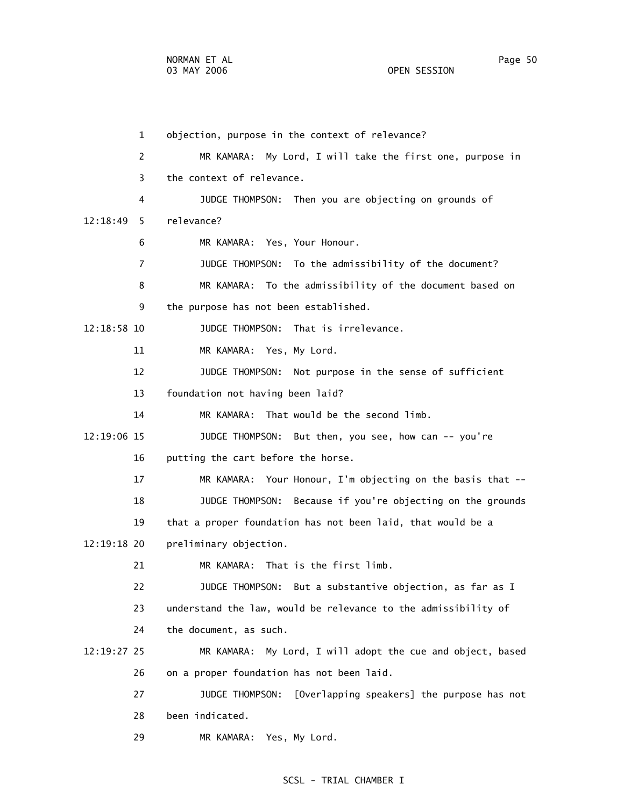1 objection, purpose in the context of relevance? 2 MR KAMARA: My Lord, I will take the first one, purpose in 3 the context of relevance. 4 JUDGE THOMPSON: Then you are objecting on grounds of 12:18:49 5 relevance? 6 MR KAMARA: Yes, Your Honour. 7 JUDGE THOMPSON: To the admissibility of the document? 8 MR KAMARA: To the admissibility of the document based on 9 the purpose has not been established. 12:18:58 10 JUDGE THOMPSON: That is irrelevance. 11 MR KAMARA: Yes, My Lord. 12 JUDGE THOMPSON: Not purpose in the sense of sufficient 13 foundation not having been laid? 14 MR KAMARA: That would be the second limb. 12:19:06 15 JUDGE THOMPSON: But then, you see, how can -- you're 16 putting the cart before the horse. 17 MR KAMARA: Your Honour, I'm objecting on the basis that -- 18 JUDGE THOMPSON: Because if you're objecting on the grounds 19 that a proper foundation has not been laid, that would be a 12:19:18 20 preliminary objection. 21 MR KAMARA: That is the first limb. 22 JUDGE THOMPSON: But a substantive objection, as far as I 23 understand the law, would be relevance to the admissibility of 24 the document, as such. 12:19:27 25 MR KAMARA: My Lord, I will adopt the cue and object, based 26 on a proper foundation has not been laid.

 27 JUDGE THOMPSON: [Overlapping speakers] the purpose has not 28 been indicated.

29 MR KAMARA: Yes, My Lord.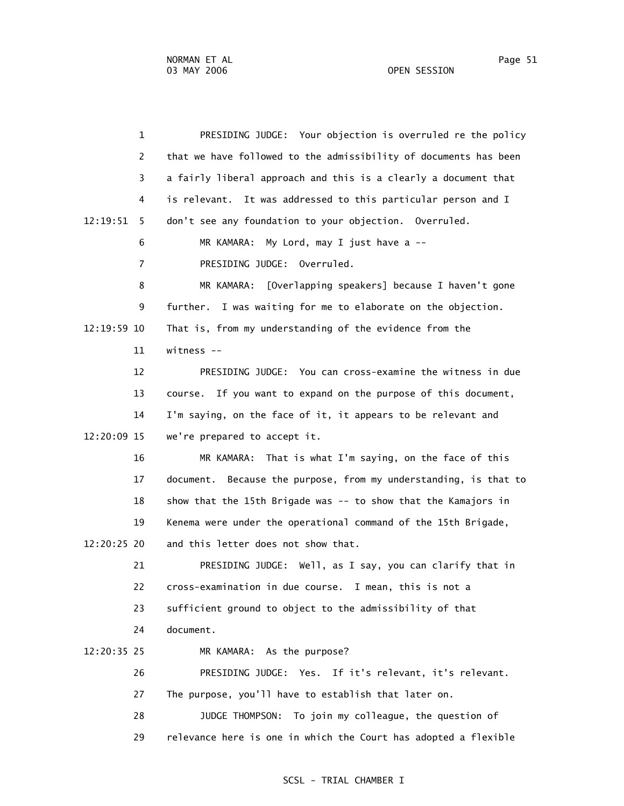1 PRESIDING JUDGE: Your objection is overruled re the policy 2 that we have followed to the admissibility of documents has been 3 a fairly liberal approach and this is a clearly a document that 4 is relevant. It was addressed to this particular person and I 12:19:51 5 don't see any foundation to your objection. Overruled. 6 MR KAMARA: My Lord, may I just have a -- 7 PRESIDING JUDGE: Overruled. 8 MR KAMARA: [Overlapping speakers] because I haven't gone 9 further. I was waiting for me to elaborate on the objection. 12:19:59 10 That is, from my understanding of the evidence from the 11 witness -- 12 PRESIDING JUDGE: You can cross-examine the witness in due 13 course. If you want to expand on the purpose of this document, 14 I'm saying, on the face of it, it appears to be relevant and 12:20:09 15 we're prepared to accept it. 16 MR KAMARA: That is what I'm saying, on the face of this 17 document. Because the purpose, from my understanding, is that to 18 show that the 15th Brigade was -- to show that the Kamajors in 19 Kenema were under the operational command of the 15th Brigade, 12:20:25 20 and this letter does not show that. 21 PRESIDING JUDGE: Well, as I say, you can clarify that in 22 cross-examination in due course. I mean, this is not a 23 sufficient ground to object to the admissibility of that 24 document. 12:20:35 25 MR KAMARA: As the purpose? 26 PRESIDING JUDGE: Yes. If it's relevant, it's relevant. 27 The purpose, you'll have to establish that later on. 28 JUDGE THOMPSON: To join my colleague, the question of 29 relevance here is one in which the Court has adopted a flexible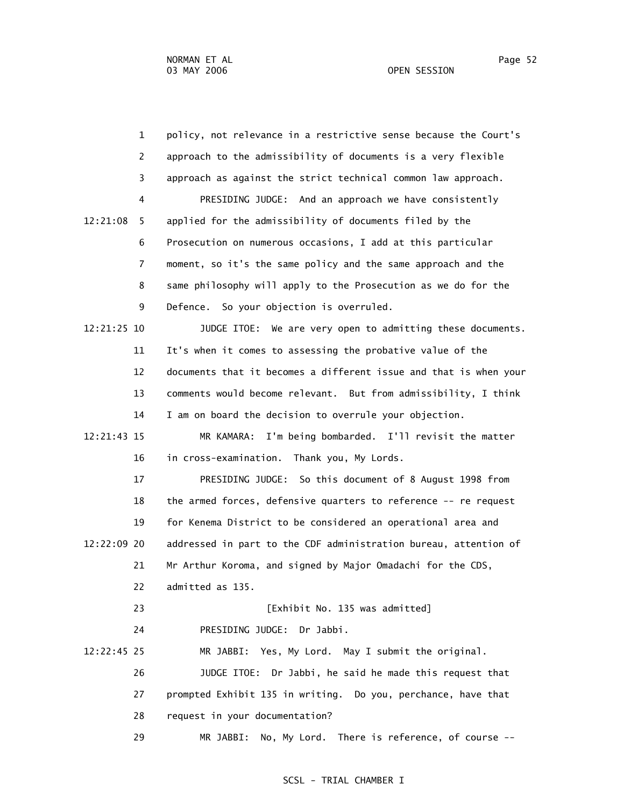1 policy, not relevance in a restrictive sense because the Court's 2 approach to the admissibility of documents is a very flexible 3 approach as against the strict technical common law approach. 4 PRESIDING JUDGE: And an approach we have consistently 12:21:08 5 applied for the admissibility of documents filed by the 6 Prosecution on numerous occasions, I add at this particular 7 moment, so it's the same policy and the same approach and the 8 same philosophy will apply to the Prosecution as we do for the 9 Defence. So your objection is overruled. 12:21:25 10 JUDGE ITOE: We are very open to admitting these documents. 11 It's when it comes to assessing the probative value of the 12 documents that it becomes a different issue and that is when your 13 comments would become relevant. But from admissibility, I think 14 I am on board the decision to overrule your objection. 12:21:43 15 MR KAMARA: I'm being bombarded. I'll revisit the matter 16 in cross-examination. Thank you, My Lords. 17 PRESIDING JUDGE: So this document of 8 August 1998 from 18 the armed forces, defensive quarters to reference -- re request 19 for Kenema District to be considered an operational area and 12:22:09 20 addressed in part to the CDF administration bureau, attention of 21 Mr Arthur Koroma, and signed by Major Omadachi for the CDS, 22 admitted as 135. 23 [Exhibit No. 135 was admitted] 24 PRESIDING JUDGE: Dr Jabbi. 12:22:45 25 MR JABBI: Yes, My Lord. May I submit the original. 26 JUDGE ITOE: Dr Jabbi, he said he made this request that 27 prompted Exhibit 135 in writing. Do you, perchance, have that 28 request in your documentation? 29 MR JABBI: No, My Lord. There is reference, of course --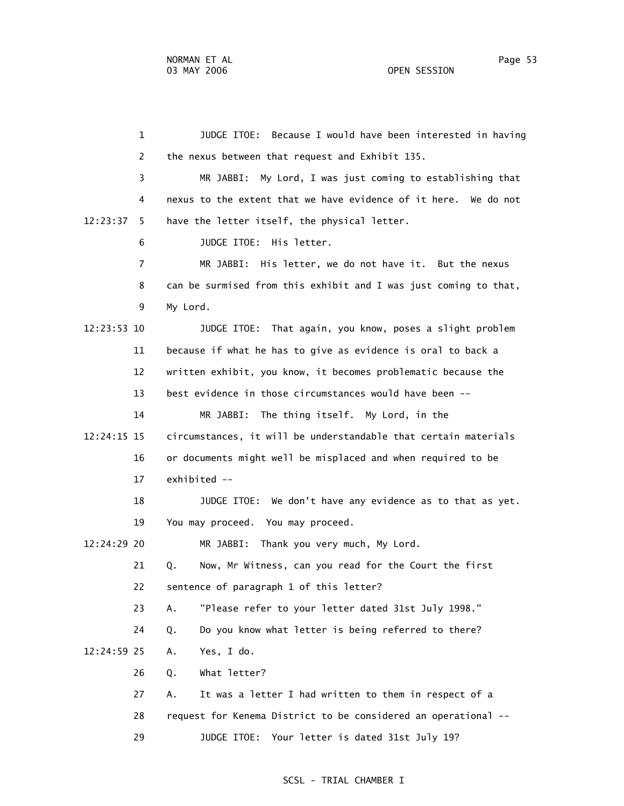1 JUDGE ITOE: Because I would have been interested in having 2 the nexus between that request and Exhibit 135. 3 MR JABBI: My Lord, I was just coming to establishing that 4 nexus to the extent that we have evidence of it here. We do not 12:23:37 5 have the letter itself, the physical letter. 6 JUDGE ITOE: His letter. 7 MR JABBI: His letter, we do not have it. But the nexus 8 can be surmised from this exhibit and I was just coming to that, 9 My Lord. 12:23:53 10 JUDGE ITOE: That again, you know, poses a slight problem 11 because if what he has to give as evidence is oral to back a 12 written exhibit, you know, it becomes problematic because the 13 best evidence in those circumstances would have been -- 14 MR JABBI: The thing itself. My Lord, in the 12:24:15 15 circumstances, it will be understandable that certain materials 16 or documents might well be misplaced and when required to be 17 exhibited -- 18 JUDGE ITOE: We don't have any evidence as to that as yet. 19 You may proceed. You may proceed. 12:24:29 20 MR JABBI: Thank you very much, My Lord. 21 Q. Now, Mr Witness, can you read for the Court the first 22 sentence of paragraph 1 of this letter? 23 A. "Please refer to your letter dated 31st July 1998." 24 Q. Do you know what letter is being referred to there? 12:24:59 25 A. Yes, I do. 26 Q. What letter? 27 A. It was a letter I had written to them in respect of a 28 request for Kenema District to be considered an operational -- 29 JUDGE ITOE: Your letter is dated 31st July 19?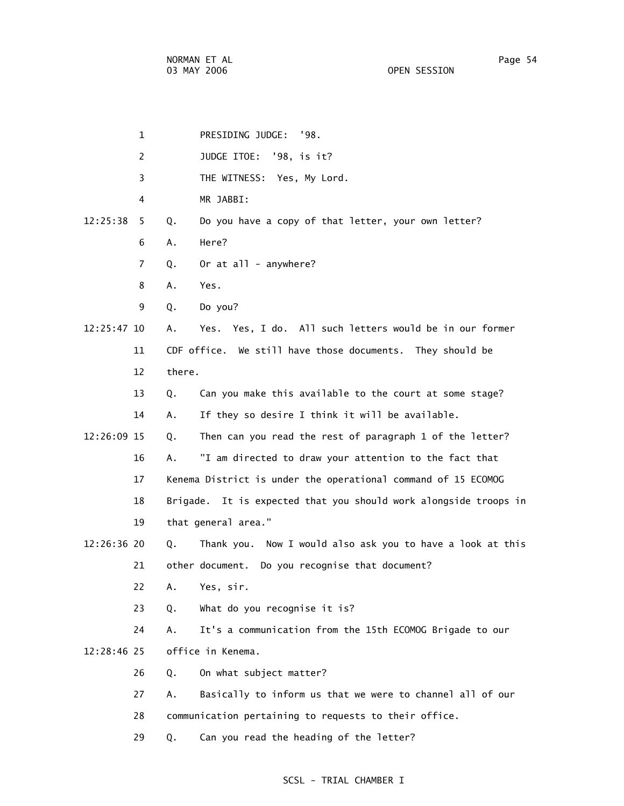| $\mathbf 1$    | PRESIDING JUDGE: '98.                                            |
|----------------|------------------------------------------------------------------|
| 2              | JUDGE ITOE: '98, is it?                                          |
| 3              | THE WITNESS: Yes, My Lord.                                       |
| 4              | MR JABBI:                                                        |
| 12:25:38<br>5. | Do you have a copy of that letter, your own letter?<br>Q.        |
| 6              | Here?<br>Α.                                                      |
| 7              | Or at all - anywhere?<br>Q.                                      |
| 8              | Yes.<br>А.                                                       |
| 9              | Do you?<br>Q.                                                    |
| 12:25:47 10    | Yes. Yes, I do. All such letters would be in our former<br>А.    |
| 11             | CDF office. We still have those documents. They should be        |
| 12             | there.                                                           |
| 13             | Can you make this available to the court at some stage?<br>Q.    |
| 14             | If they so desire I think it will be available.<br>А.            |
| 12:26:09 15    | Then can you read the rest of paragraph 1 of the letter?<br>Q.   |
| 16             | "I am directed to draw your attention to the fact that<br>Α.     |
| 17             | Kenema District is under the operational command of 15 ECOMOG    |
| 18             | Brigade. It is expected that you should work alongside troops in |
| 19             | that general area."                                              |
| 12:26:36 20    | Thank you. Now I would also ask you to have a look at this<br>Q. |
| 21             | other document. Do you recognise that document?                  |
| 22             | Yes, sir.<br>Α.                                                  |
| 23             | What do you recognise it is?<br>Q.                               |
| 24             | It's a communication from the 15th ECOMOG Brigade to our<br>А.   |
| 12:28:46 25    | office in Kenema.                                                |
| 26             | On what subject matter?<br>Q.                                    |
| 27             | Basically to inform us that we were to channel all of our<br>А.  |
| 28             | communication pertaining to requests to their office.            |
| 29             | Can you read the heading of the letter?<br>Q.                    |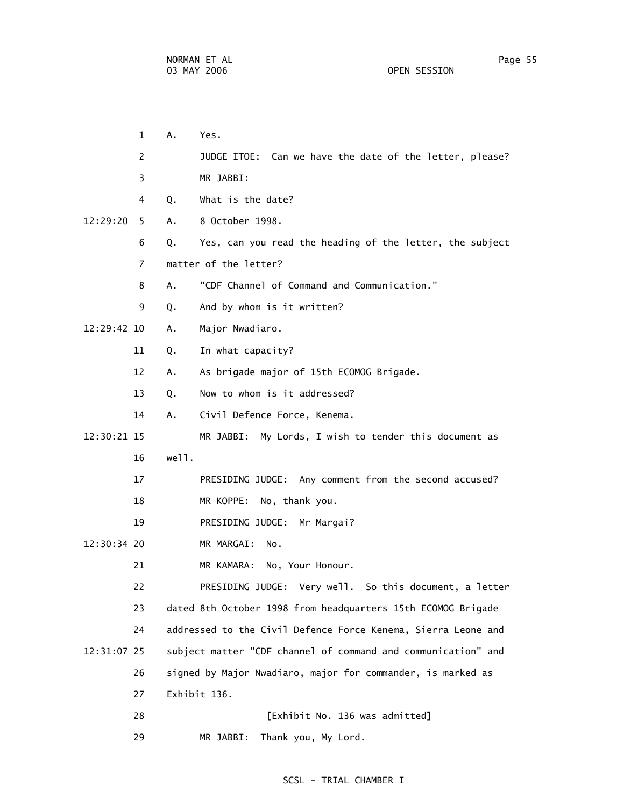| 1              | Α.<br>Yes.              |                                                               |
|----------------|-------------------------|---------------------------------------------------------------|
| 2              |                         | JUDGE ITOE: Can we have the date of the letter, please?       |
| 3              | MR JABBI:               |                                                               |
| 4              | What is the date?<br>Q. |                                                               |
| 12:29:20<br>5. | 8 October 1998.<br>А.   |                                                               |
| 6              | Q.                      | Yes, can you read the heading of the letter, the subject      |
| $\overline{7}$ | matter of the letter?   |                                                               |
| 8              | А.                      | "CDF Channel of Command and Communication."                   |
| 9              | Q.                      | And by whom is it written?                                    |
| 12:29:42 10    | Major Nwadiaro.<br>Α.   |                                                               |
| 11             | In what capacity?<br>Q. |                                                               |
| 12             | Α.                      | As brigade major of 15th ECOMOG Brigade.                      |
| 13             | Q.                      | Now to whom is it addressed?                                  |
| 14             | А.                      | Civil Defence Force, Kenema.                                  |
| 12:30:21 15    |                         | MR JABBI: My Lords, I wish to tender this document as         |
| 16             | well.                   |                                                               |
| 17             |                         | PRESIDING JUDGE: Any comment from the second accused?         |
| 18             |                         | MR KOPPE: No, thank you.                                      |
| 19             |                         | PRESIDING JUDGE: Mr Margai?                                   |
| 12:30:34 20    | MR MARGAI:              | No.                                                           |
| 21             |                         | MR KAMARA: No, Your Honour.                                   |
| 22             |                         | PRESIDING JUDGE: Very well. So this document, a letter        |
| 23             |                         | dated 8th October 1998 from headquarters 15th ECOMOG Brigade  |
| 24             |                         | addressed to the Civil Defence Force Kenema, Sierra Leone and |
| 12:31:07 25    |                         | subject matter "CDF channel of command and communication" and |
| 26             |                         | signed by Major Nwadiaro, major for commander, is marked as   |
| 27             | Exhibit 136.            |                                                               |
| 28             |                         | [Exhibit No. 136 was admitted]                                |

# SCSL - TRIAL CHAMBER I

29 MR JABBI: Thank you, My Lord.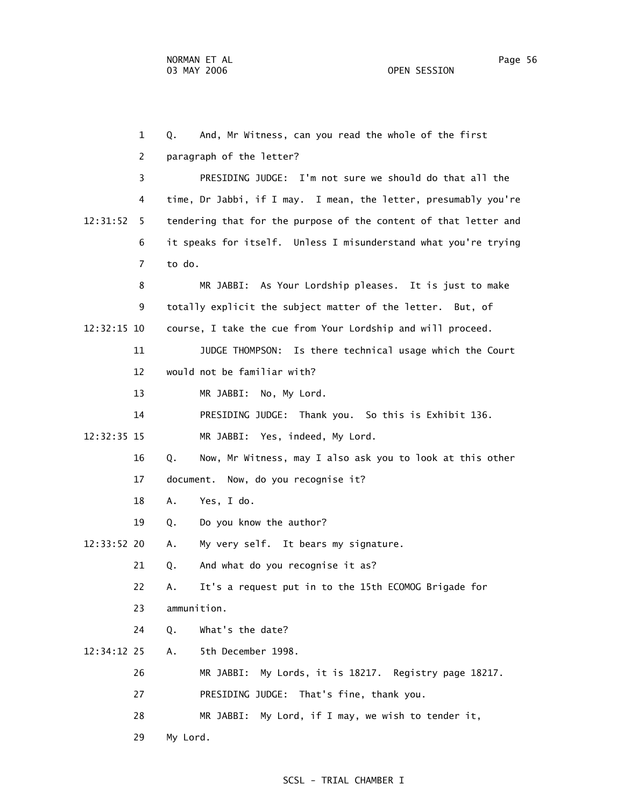1 Q. And, Mr Witness, can you read the whole of the first 2 paragraph of the letter? 3 PRESIDING JUDGE: I'm not sure we should do that all the 4 time, Dr Jabbi, if I may. I mean, the letter, presumably you're 12:31:52 5 tendering that for the purpose of the content of that letter and 6 it speaks for itself. Unless I misunderstand what you're trying 7 to do. 8 MR JABBI: As Your Lordship pleases. It is just to make 9 totally explicit the subject matter of the letter. But, of 12:32:15 10 course, I take the cue from Your Lordship and will proceed. 11 JUDGE THOMPSON: Is there technical usage which the Court 12 would not be familiar with? 13 MR JABBI: No, My Lord. 14 PRESIDING JUDGE: Thank you. So this is Exhibit 136. 12:32:35 15 MR JABBI: Yes, indeed, My Lord. 16 Q. Now, Mr Witness, may I also ask you to look at this other 17 document. Now, do you recognise it? 18 A. Yes, I do. 19 Q. Do you know the author? 12:33:52 20 A. My very self. It bears my signature. 21 Q. And what do you recognise it as? 22 A. It's a request put in to the 15th ECOMOG Brigade for 23 ammunition. 24 Q. What's the date? 12:34:12 25 A. 5th December 1998. 26 MR JABBI: My Lords, it is 18217. Registry page 18217. 27 PRESIDING JUDGE: That's fine, thank you. 28 MR JABBI: My Lord, if I may, we wish to tender it, 29 My Lord.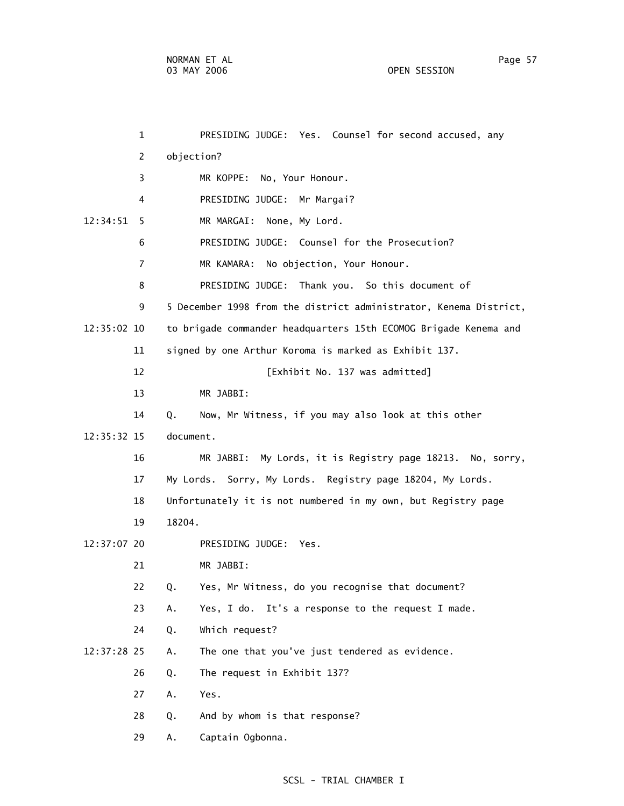|             | $\mathbf{1}$   | PRESIDING JUDGE: Yes. Counsel for second accused, any             |
|-------------|----------------|-------------------------------------------------------------------|
|             | $\overline{c}$ | objection?                                                        |
|             | 3              | MR KOPPE: No, Your Honour.                                        |
|             | 4              | PRESIDING JUDGE: Mr Margai?                                       |
| 12:34:51    | 5              | MR MARGAI: None, My Lord.                                         |
|             | 6              | PRESIDING JUDGE: Counsel for the Prosecution?                     |
|             | $\overline{7}$ | MR KAMARA: No objection, Your Honour.                             |
|             | 8              | PRESIDING JUDGE: Thank you. So this document of                   |
|             | 9              | 5 December 1998 from the district administrator, Kenema District, |
| 12:35:02 10 |                | to brigade commander headquarters 15th ECOMOG Brigade Kenema and  |
|             | 11             | signed by one Arthur Koroma is marked as Exhibit 137.             |
|             | 12             | [Exhibit No. 137 was admitted]                                    |
|             | 13             | MR JABBI:                                                         |
|             | 14             | Q.<br>Now, Mr Witness, if you may also look at this other         |
| 12:35:32 15 |                | document.                                                         |
|             | 16             | MR JABBI: My Lords, it is Registry page 18213. No, sorry,         |
|             | 17             | My Lords. Sorry, My Lords. Registry page 18204, My Lords.         |
|             | 18             | Unfortunately it is not numbered in my own, but Registry page     |
|             | 19             | 18204.                                                            |
| 12:37:07 20 |                | PRESIDING JUDGE: Yes.                                             |
|             | 21             | MR JABBI:                                                         |
|             | 22             | Yes, Mr Witness, do you recognise that document?<br>Q.            |
|             | 23             | Yes, I do. It's a response to the request I made.<br>Α.           |
|             | 24             | Which request?<br>Q.                                              |
| 12:37:28 25 |                | The one that you've just tendered as evidence.<br>Α.              |
|             | 26             | The request in Exhibit 137?<br>Q.                                 |
|             | 27             | Yes.<br>Α.                                                        |
|             | 28             | And by whom is that response?<br>Q.                               |
|             | 29             | Captain Ogbonna.<br>Α.                                            |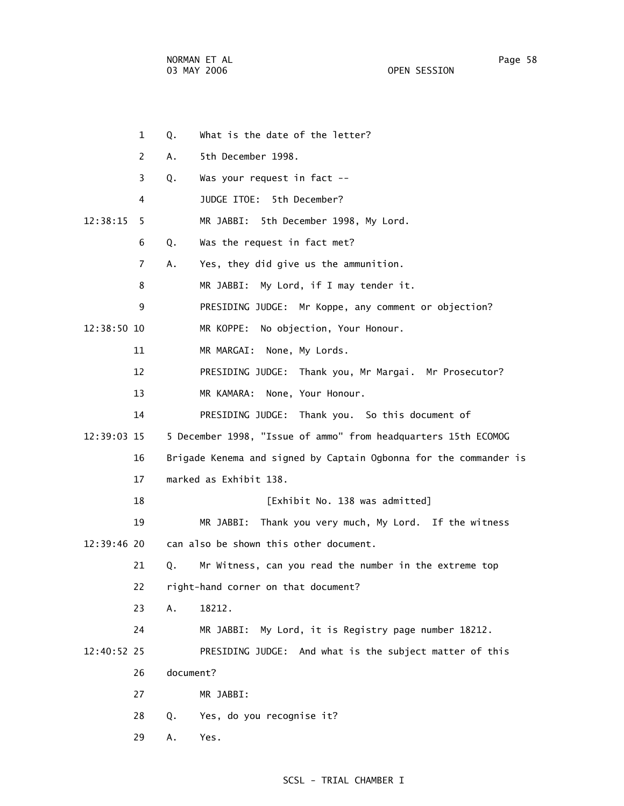NORMAN ET AL Page 58

OPEN SESSION

|             | $\mathbf{1}$   | Q.        | What is the date of the letter?                                   |
|-------------|----------------|-----------|-------------------------------------------------------------------|
|             | 2              | Α.        | 5th December 1998.                                                |
|             | 3              | Q.        | Was your request in fact --                                       |
|             | 4              |           | JUDGE ITOE: 5th December?                                         |
| 12:38:15    | 5.             |           | MR JABBI: 5th December 1998, My Lord.                             |
|             | 6              | Q.        | Was the request in fact met?                                      |
|             | $\overline{7}$ | Α.        | Yes, they did give us the ammunition.                             |
|             | 8              |           | MR JABBI: My Lord, if I may tender it.                            |
|             | 9              |           | PRESIDING JUDGE: Mr Koppe, any comment or objection?              |
| 12:38:50 10 |                |           | MR KOPPE:<br>No objection, Your Honour.                           |
|             | 11             |           | MR MARGAI:<br>None, My Lords.                                     |
|             | 12             |           | PRESIDING JUDGE: Thank you, Mr Margai. Mr Prosecutor?             |
|             | 13             |           | MR KAMARA:<br>None, Your Honour.                                  |
|             | 14             |           | PRESIDING JUDGE: Thank you. So this document of                   |
| 12:39:03 15 |                |           | 5 December 1998, "Issue of ammo" from headquarters 15th ECOMOG    |
|             | 16             |           | Brigade Kenema and signed by Captain Ogbonna for the commander is |
|             | 17             |           | marked as Exhibit 138.                                            |
|             | 18             |           | [Exhibit No. 138 was admitted]                                    |
|             | 19             |           | Thank you very much, My Lord. If the witness<br>MR JABBI:         |
| 12:39:46 20 |                |           | can also be shown this other document.                            |
|             | 21             | Q.        | Mr Witness, can you read the number in the extreme top            |
|             | 22             |           | right-hand corner on that document?                               |
|             | 23             | Α.        | 18212.                                                            |
|             | 24             |           | MR JABBI: My Lord, it is Registry page number 18212.              |
| 12:40:52 25 |                |           | PRESIDING JUDGE: And what is the subject matter of this           |
|             | 26             | document? |                                                                   |
|             | 27             |           | MR JABBI:                                                         |
|             | 28             | Q.        | Yes, do you recognise it?                                         |
|             | 29             | Α.        | Yes.                                                              |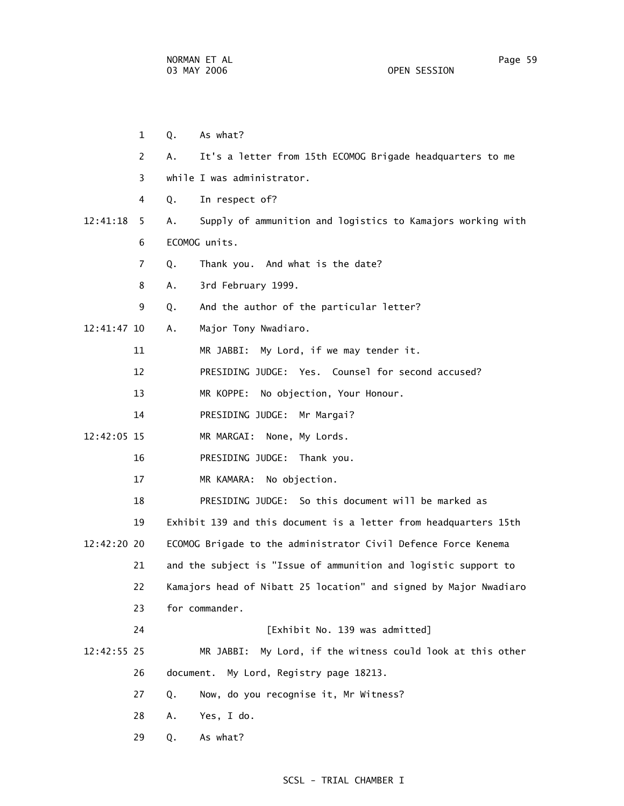1 Q. As what? 2 A. It's a letter from 15th ECOMOG Brigade headquarters to me 3 while I was administrator. 4 Q. In respect of? 12:41:18 5 A. Supply of ammunition and logistics to Kamajors working with 6 ECOMOG units. 7 Q. Thank you. And what is the date? 8 A. 3rd February 1999. 9 Q. And the author of the particular letter? 12:41:47 10 A. Major Tony Nwadiaro. 11 MR JABBI: My Lord, if we may tender it. 12 PRESIDING JUDGE: Yes. Counsel for second accused? 13 MR KOPPE: No objection, Your Honour. 14 PRESIDING JUDGE: Mr Margai? 12:42:05 15 MR MARGAI: None, My Lords. 16 PRESIDING JUDGE: Thank you. 17 MR KAMARA: No objection. 18 PRESIDING JUDGE: So this document will be marked as 19 Exhibit 139 and this document is a letter from headquarters 15th 12:42:20 20 ECOMOG Brigade to the administrator Civil Defence Force Kenema 21 and the subject is "Issue of ammunition and logistic support to 22 Kamajors head of Nibatt 25 location" and signed by Major Nwadiaro 23 for commander. 24 [Exhibit No. 139 was admitted] 12:42:55 25 MR JABBI: My Lord, if the witness could look at this other 26 document. My Lord, Registry page 18213. 27 Q. Now, do you recognise it, Mr Witness? 28 A. Yes, I do. 29 Q. As what?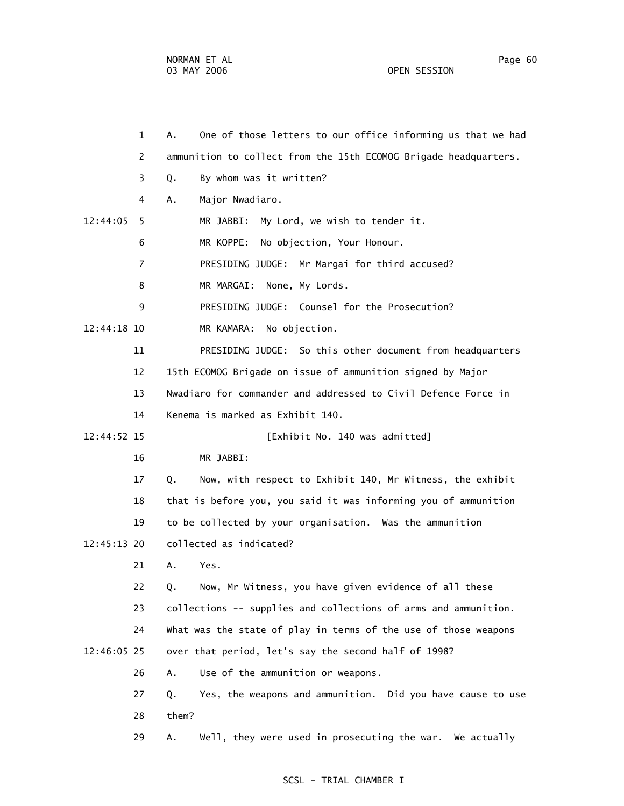NORMAN ET AL Page 60 03 MAY 2006 OPEN SESSION

 1 A. One of those letters to our office informing us that we had 2 ammunition to collect from the 15th ECOMOG Brigade headquarters. 3 Q. By whom was it written? 4 A. Major Nwadiaro. 12:44:05 5 MR JABBI: My Lord, we wish to tender it. 6 MR KOPPE: No objection, Your Honour. 7 PRESIDING JUDGE: Mr Margai for third accused? 8 MR MARGAI: None, My Lords. 9 PRESIDING JUDGE: Counsel for the Prosecution? 12:44:18 10 MR KAMARA: No objection. 11 PRESIDING JUDGE: So this other document from headquarters 12 15th ECOMOG Brigade on issue of ammunition signed by Major 13 Nwadiaro for commander and addressed to Civil Defence Force in 14 Kenema is marked as Exhibit 140. 12:44:52 15 [Exhibit No. 140 was admitted] 16 MR JABBI: 17 Q. Now, with respect to Exhibit 140, Mr Witness, the exhibit 18 that is before you, you said it was informing you of ammunition 19 to be collected by your organisation. Was the ammunition 12:45:13 20 collected as indicated? 21 A. Yes. 22 Q. Now, Mr Witness, you have given evidence of all these 23 collections -- supplies and collections of arms and ammunition. 24 What was the state of play in terms of the use of those weapons 12:46:05 25 over that period, let's say the second half of 1998? 26 A. Use of the ammunition or weapons. 27 Q. Yes, the weapons and ammunition. Did you have cause to use 28 them? 29 A. Well, they were used in prosecuting the war. We actually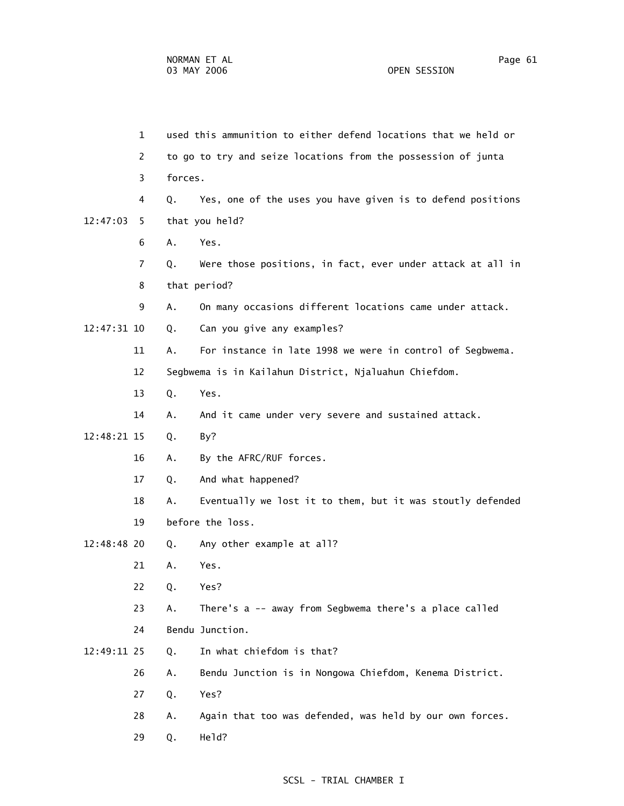1 used this ammunition to either defend locations that we held or 2 to go to try and seize locations from the possession of junta 3 forces. 4 Q. Yes, one of the uses you have given is to defend positions 12:47:03 5 that you held? 6 A. Yes. 7 Q. Were those positions, in fact, ever under attack at all in 8 that period? 9 A. On many occasions different locations came under attack. 12:47:31 10 Q. Can you give any examples? 11 A. For instance in late 1998 we were in control of Segbwema. 12 Segbwema is in Kailahun District, Njaluahun Chiefdom. 13 Q. Yes. 14 A. And it came under very severe and sustained attack. 12:48:21 15 Q. By? 16 A. By the AFRC/RUF forces. 17 Q. And what happened? 18 A. Eventually we lost it to them, but it was stoutly defended 19 before the loss. 12:48:48 20 Q. Any other example at all? 21 A. Yes. 22 Q. Yes? 23 A. There's a -- away from Segbwema there's a place called 24 Bendu Junction. 12:49:11 25 Q. In what chiefdom is that? 26 A. Bendu Junction is in Nongowa Chiefdom, Kenema District. 27 Q. Yes? 28 A. Again that too was defended, was held by our own forces. 29 Q. Held?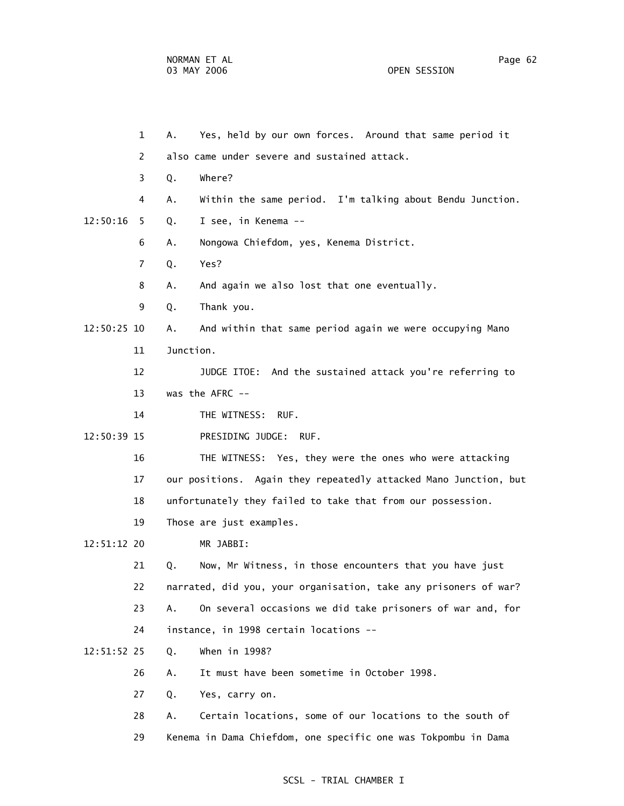1 A. Yes, held by our own forces. Around that same period it 2 also came under severe and sustained attack. 3 Q. Where? 4 A. Within the same period. I'm talking about Bendu Junction. 12:50:16 5 Q. I see, in Kenema -- 6 A. Nongowa Chiefdom, yes, Kenema District. 7 Q. Yes? 8 A. And again we also lost that one eventually. 9 Q. Thank you. 12:50:25 10 A. And within that same period again we were occupying Mano 11 Junction. 12 JUDGE ITOE: And the sustained attack you're referring to 13 was the AFRC -- 14 THE WITNESS: RUF. 12:50:39 15 PRESIDING JUDGE: RUF. 16 THE WITNESS: Yes, they were the ones who were attacking 17 our positions. Again they repeatedly attacked Mano Junction, but 18 unfortunately they failed to take that from our possession. 19 Those are just examples. 12:51:12 20 MR JABBI: 21 Q. Now, Mr Witness, in those encounters that you have just 22 narrated, did you, your organisation, take any prisoners of war? 23 A. On several occasions we did take prisoners of war and, for 24 instance, in 1998 certain locations -- 12:51:52 25 Q. When in 1998? 26 A. It must have been sometime in October 1998. 27 Q. Yes, carry on. 28 A. Certain locations, some of our locations to the south of

29 Kenema in Dama Chiefdom, one specific one was Tokpombu in Dama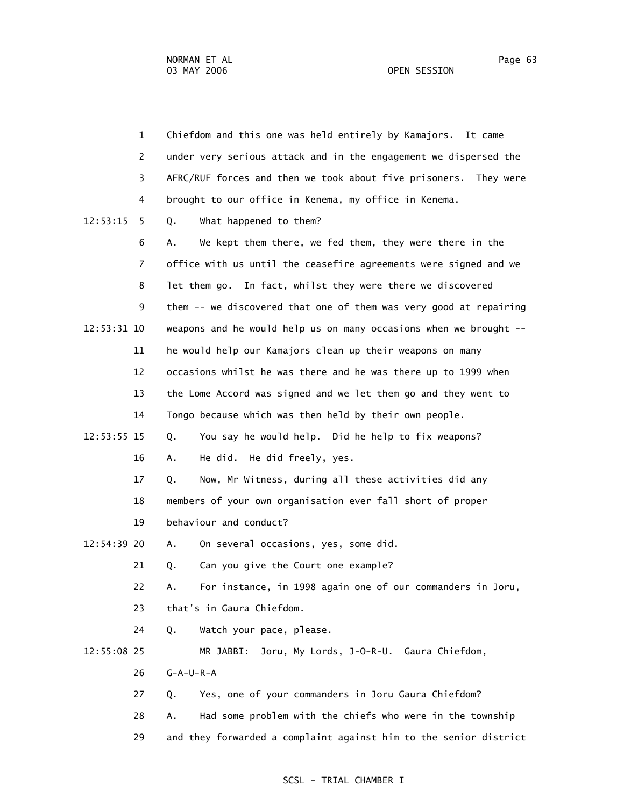| $\mathbf{1}$  | Chiefdom and this one was held entirely by Kamajors. It came      |
|---------------|-------------------------------------------------------------------|
| 2             | under very serious attack and in the engagement we dispersed the  |
| 3             | AFRC/RUF forces and then we took about five prisoners. They were  |
| 4             | brought to our office in Kenema, my office in Kenema.             |
| 12:53:15<br>5 | What happened to them?<br>Q.                                      |
| 6             | We kept them there, we fed them, they were there in the<br>А.     |
| 7             | office with us until the ceasefire agreements were signed and we  |
| 8             | let them go. In fact, whilst they were there we discovered        |
| 9             | them -- we discovered that one of them was very good at repairing |
| 12:53:31 10   | weapons and he would help us on many occasions when we brought -- |
| 11            | he would help our Kamajors clean up their weapons on many         |
| 12            | occasions whilst he was there and he was there up to 1999 when    |
| 13            | the Lome Accord was signed and we let them go and they went to    |
| 14            | Tongo because which was then held by their own people.            |
| 12:53:55 15   | You say he would help. Did he help to fix weapons?<br>Q.          |
| 16            | He did. He did freely, yes.<br>Α.                                 |
| 17            | Now, Mr Witness, during all these activities did any<br>Q.        |
| 18            | members of your own organisation ever fall short of proper        |
| 19            | behaviour and conduct?                                            |
| 12:54:39 20   | On several occasions, yes, some did.<br>Α.                        |
| 21            | Can you give the Court one example?<br>Q.                         |
| 22            | For instance, in 1998 again one of our commanders in Joru,<br>Α.  |
| 23            | that's in Gaura Chiefdom.                                         |
| 24            | Watch your pace, please.<br>Q.                                    |
| 12:55:08 25   | Joru, My Lords, J-O-R-U. Gaura Chiefdom,<br>MR JABBI:             |
| 26            | $G - A - U - R - A$                                               |
| 27            | Yes, one of your commanders in Joru Gaura Chiefdom?<br>Q.         |
| 28            | Had some problem with the chiefs who were in the township<br>Α.   |
| 29            | and they forwarded a complaint against him to the senior district |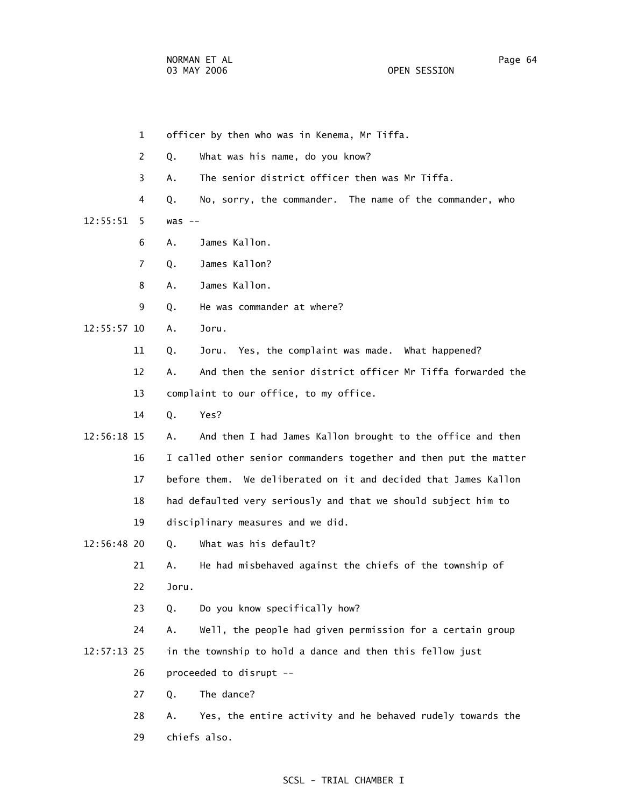1 officer by then who was in Kenema, Mr Tiffa. 2 Q. What was his name, do you know? 3 A. The senior district officer then was Mr Tiffa. 4 Q. No, sorry, the commander. The name of the commander, who 12:55:51 5 was -- 6 A. James Kallon. 7 Q. James Kallon? 8 A. James Kallon. 9 Q. He was commander at where? 12:55:57 10 A. Joru. 11 Q. Joru. Yes, the complaint was made. What happened? 12 A. And then the senior district officer Mr Tiffa forwarded the 13 complaint to our office, to my office. 14 Q. Yes? 12:56:18 15 A. And then I had James Kallon brought to the office and then 16 I called other senior commanders together and then put the matter 17 before them. We deliberated on it and decided that James Kallon 18 had defaulted very seriously and that we should subject him to 19 disciplinary measures and we did. 12:56:48 20 Q. What was his default? 21 A. He had misbehaved against the chiefs of the township of 22 Joru. 23 Q. Do you know specifically how? 24 A. Well, the people had given permission for a certain group 12:57:13 25 in the township to hold a dance and then this fellow just 26 proceeded to disrupt -- 27 Q. The dance? 28 A. Yes, the entire activity and he behaved rudely towards the 29 chiefs also.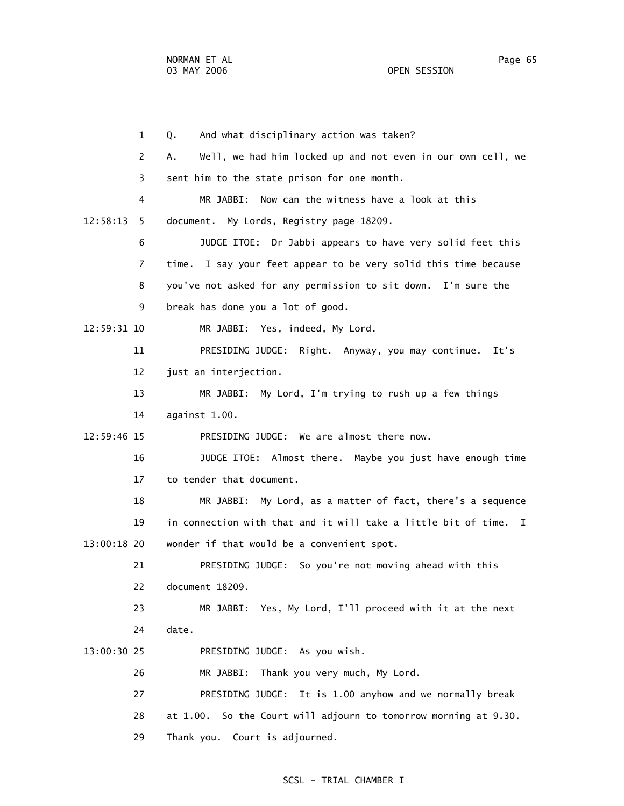1 Q. And what disciplinary action was taken? 2 A. Well, we had him locked up and not even in our own cell, we 3 sent him to the state prison for one month. 4 MR JABBI: Now can the witness have a look at this 12:58:13 5 document. My Lords, Registry page 18209. 6 JUDGE ITOE: Dr Jabbi appears to have very solid feet this 7 time. I say your feet appear to be very solid this time because 8 you've not asked for any permission to sit down. I'm sure the 9 break has done you a lot of good. 12:59:31 10 MR JABBI: Yes, indeed, My Lord. 11 PRESIDING JUDGE: Right. Anyway, you may continue. It's 12 just an interjection. 13 MR JABBI: My Lord, I'm trying to rush up a few things 14 against 1.00. 12:59:46 15 PRESIDING JUDGE: We are almost there now. 16 JUDGE ITOE: Almost there. Maybe you just have enough time 17 to tender that document. 18 MR JABBI: My Lord, as a matter of fact, there's a sequence 19 in connection with that and it will take a little bit of time. I 13:00:18 20 wonder if that would be a convenient spot. 21 PRESIDING JUDGE: So you're not moving ahead with this 22 document 18209. 23 MR JABBI: Yes, My Lord, I'll proceed with it at the next 24 date. 13:00:30 25 PRESIDING JUDGE: As you wish. 26 MR JABBI: Thank you very much, My Lord. 27 PRESIDING JUDGE: It is 1.00 anyhow and we normally break 28 at 1.00. So the Court will adjourn to tomorrow morning at 9.30. 29 Thank you. Court is adjourned.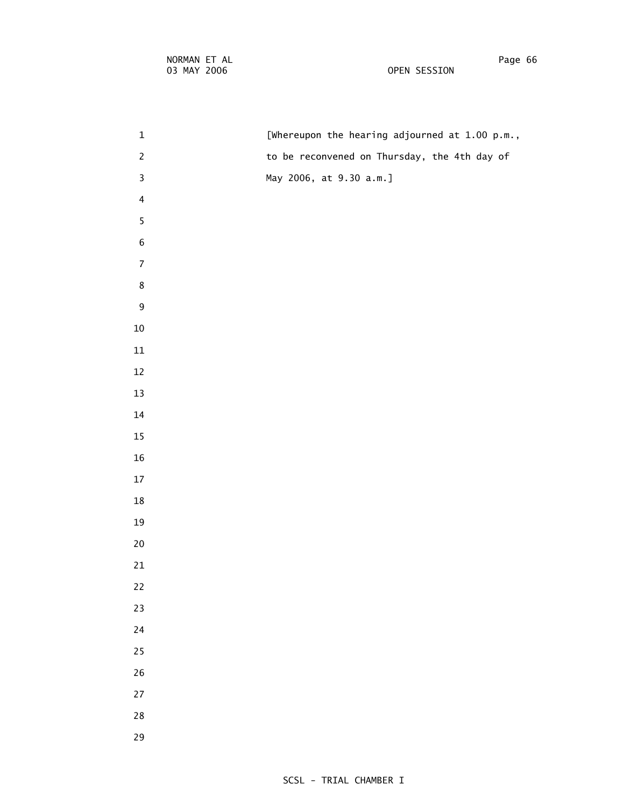| $\mathbf{1}$            | [Whereupon the hearing adjourned at 1.00 p.m., |
|-------------------------|------------------------------------------------|
| $\overline{c}$          | to be reconvened on Thursday, the 4th day of   |
| 3                       | May 2006, at 9.30 a.m.]                        |
| $\overline{\mathbf{4}}$ |                                                |
| 5                       |                                                |
| $\,$ 6 $\,$             |                                                |
| $\overline{7}$          |                                                |
| 8                       |                                                |
| 9                       |                                                |
| $10\,$                  |                                                |
| $11\,$                  |                                                |
| $12\,$                  |                                                |
| $13\,$                  |                                                |
| $14\,$                  |                                                |
| $15\,$                  |                                                |
| ${\bf 16}$              |                                                |
| $17\,$                  |                                                |
| $18\,$                  |                                                |
| 19                      |                                                |
| ${\bf 20}$              |                                                |
| $21\,$                  |                                                |
| $22\,$                  |                                                |
| 23                      |                                                |
| $24\,$                  |                                                |
| 25                      |                                                |
| $26\,$                  |                                                |
| $27\,$                  |                                                |
| ${\bf 28}$              |                                                |
| 29                      |                                                |